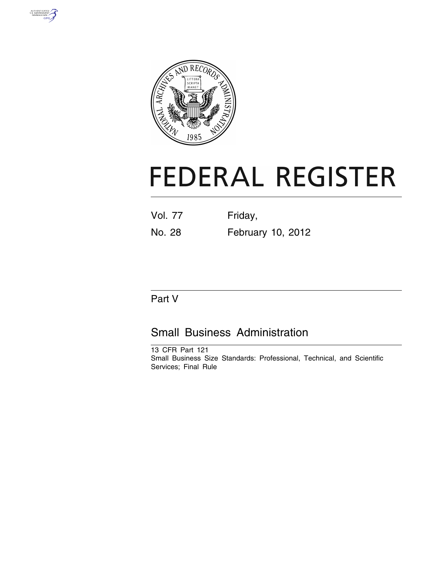



# **FEDERAL REGISTER**

| <b>Vol. 77</b> | Friday, |  |
|----------------|---------|--|
|                |         |  |

# No. 28 February 10, 2012

# Part V

# Small Business Administration

13 CFR Part 121 Small Business Size Standards: Professional, Technical, and Scientific Services; Final Rule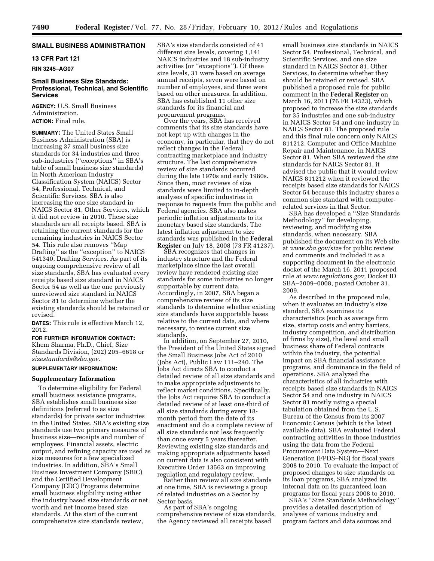# **SMALL BUSINESS ADMINISTRATION**

# **13 CFR Part 121**

**RIN 3245–AG07** 

# **Small Business Size Standards: Professional, Technical, and Scientific Services**

**AGENCY:** U.S. Small Business Administration. **ACTION:** Final rule.

**SUMMARY:** The United States Small Business Administration (SBA) is increasing 37 small business size standards for 34 industries and three sub-industries (''exceptions'' in SBA's table of small business size standards) in North American Industry Classification System (NAICS) Sector 54, Professional, Technical, and Scientific Services. SBA is also increasing the one size standard in NAICS Sector 81, Other Services, which it did not review in 2010. These size standards are all receipts based. SBA is retaining the current standards for the remaining industries in NAICS Sector 54. This rule also removes ''Map Drafting'' as the ''exception'' to NAICS 541340, Drafting Services. As part of its ongoing comprehensive review of all size standards, SBA has evaluated every receipts based size standard in NAICS Sector 54 as well as the one previously unreviewed size standard in NAICS Sector 81 to determine whether the existing standards should be retained or revised.

**DATES:** This rule is effective March 12, 2012.

# **FOR FURTHER INFORMATION CONTACT:**  Khem Sharma, Ph.D., Chief, Size Standards Division, (202) 205–6618 or *[sizestandards@sba.gov.](mailto:sizestandards@sba.gov)*

# **SUPPLEMENTARY INFORMATION:**

#### **Supplementary Information**

To determine eligibility for Federal small business assistance programs, SBA establishes small business size definitions (referred to as size standards) for private sector industries in the United States. SBA's existing size standards use two primary measures of business size—receipts and number of employees. Financial assets, electric output, and refining capacity are used as size measures for a few specialized industries. In addition, SBA's Small Business Investment Company (SBIC) and the Certified Development Company (CDC) Programs determine small business eligibility using either the industry based size standards or net worth and net income based size standards. At the start of the current comprehensive size standards review,

SBA's size standards consisted of 41 different size levels, covering 1,141 NAICS industries and 18 sub-industry activities (or ''exceptions''). Of these size levels, 31 were based on average annual receipts, seven were based on number of employees, and three were based on other measures. In addition, SBA has established 11 other size standards for its financial and<br>procurement programs.

Over the years, SBA has received comments that its size standards have not kept up with changes in the economy, in particular, that they do not reflect changes in the Federal contracting marketplace and industry structure. The last comprehensive review of size standards occurred during the late 1970s and early 1980s. Since then, most reviews of size standards were limited to in-depth analyses of specific industries in response to requests from the public and Federal agencies. SBA also makes periodic inflation adjustments to its monetary based size standards. The latest inflation adjustment to size standards was published in the **Federal Register** on July 18, 2008 (73 FR 41237). SBA recognizes that changes in

industry structure and the Federal marketplace since the last overall review have rendered existing size standards for some industries no longer supportable by current data. Accordingly, in 2007, SBA began a comprehensive review of its size standards to determine whether existing size standards have supportable bases relative to the current data, and where necessary, to revise current size standards.

In addition, on September 27, 2010, the President of the United States signed the Small Business Jobs Act of 2010 (Jobs Act), Public Law 111–240. The Jobs Act directs SBA to conduct a detailed review of all size standards and to make appropriate adjustments to reflect market conditions. Specifically, the Jobs Act requires SBA to conduct a detailed review of at least one-third of all size standards during every 18 month period from the date of its enactment and do a complete review of all size standards not less frequently than once every 5 years thereafter. Reviewing existing size standards and making appropriate adjustments based on current data is also consistent with Executive Order 13563 on improving regulation and regulatory review. Rather than review all size standards

at one time, SBA is reviewing a group of related industries on a Sector by Sector basis.

As part of SBA's ongoing comprehensive review of size standards, the Agency reviewed all receipts based

small business size standards in NAICS Sector 54, Professional, Technical, and Scientific Services, and one size standard in NAICS Sector 81, Other Services, to determine whether they should be retained or revised. SBA published a proposed rule for public comment in the **Federal Register** on March 16, 2011 (76 FR 14323), which proposed to increase the size standards for 35 industries and one sub-industry in NAICS Sector 54 and one industry in NAICS Sector 81. The proposed rule and this final rule concern only NAICS 811212, Computer and Office Machine Repair and Maintenance, in NAICS Sector 81. When SBA reviewed the size standards for NAICS Sector 81, it advised the public that it would review NAICS 811212 when it reviewed the receipts based size standards for NAICS Sector 54 because this industry shares a common size standard with computerrelated services in that Sector.

SBA has developed a ''Size Standards Methodology'' for developing, reviewing, and modifying size standards, when necessary. SBA published the document on its Web site at *[www.sba.gov/size](http://www.sba.gov/size)* for public review and comments and included it as a supporting document in the electronic docket of the March 16, 2011 proposed rule at *[www.regulations.gov,](http://www.regulations.gov)* Docket ID SBA–2009–0008, posted October 31, 2009.

As described in the proposed rule, when it evaluates an industry's size standard, SBA examines its characteristics (such as average firm size, startup costs and entry barriers, industry competition, and distribution of firms by size), the level and small business share of Federal contracts within the industry, the potential impact on SBA financial assistance programs, and dominance in the field of operations. SBA analyzed the characteristics of all industries with receipts based size standards in NAICS Sector 54 and one industry in NAICS Sector 81 mostly using a special tabulation obtained from the U.S. Bureau of the Census from its 2007 Economic Census (which is the latest available data). SBA evaluated Federal contracting activities in those industries using the data from the Federal Procurement Data System—Next Generation (FPDS–NG) for fiscal years 2008 to 2010. To evaluate the impact of proposed changes to size standards on its loan programs, SBA analyzed its internal data on its guaranteed loan programs for fiscal years 2008 to 2010.

SBA's ''Size Standards Methodology'' provides a detailed description of analyses of various industry and program factors and data sources and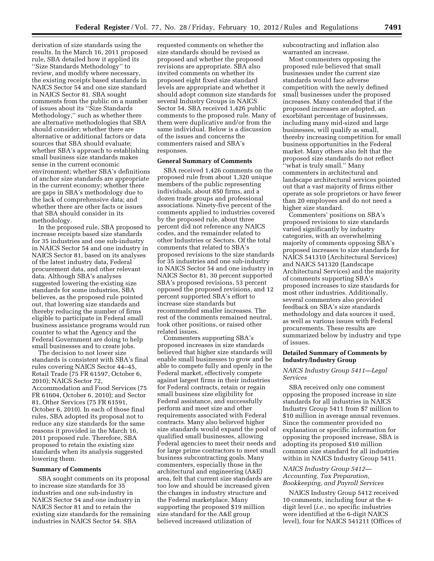derivation of size standards using the results. In the March 16, 2011 proposed rule, SBA detailed how it applied its ''Size Standards Methodology'' to review, and modify where necessary, the existing receipts based standards in NAICS Sector 54 and one size standard in NAICS Sector 81. SBA sought comments from the public on a number of issues about its ''Size Standards Methodology,'' such as whether there are alternative methodologies that SBA should consider; whether there are alternative or additional factors or data sources that SBA should evaluate; whether SBA's approach to establishing small business size standards makes sense in the current economic environment; whether SBA's definitions of anchor size standards are appropriate in the current economy; whether there are gaps in SBA's methodology due to the lack of comprehensive data; and whether there are other facts or issues that SBA should consider in its methodology.

In the proposed rule, SBA proposed to increase receipts based size standards for 35 industries and one sub-industry in NAICS Sector 54 and one industry in NAICS Sector 81, based on its analyses of the latest industry data, Federal procurement data, and other relevant data. Although SBA's analyses suggested lowering the existing size standards for some industries, SBA believes, as the proposed rule pointed out, that lowering size standards and thereby reducing the number of firms eligible to participate in Federal small business assistance programs would run counter to what the Agency and the Federal Government are doing to help small businesses and to create jobs.

The decision to not lower size standards is consistent with SBA's final rules covering NAICS Sector 44–45, Retail Trade (75 FR 61597, October 6, 2010); NAICS Sector 72, Accommodation and Food Services (75 FR 61604, October 6, 2010); and Sector 81, Other Services (75 FR 61591, October 6, 2010). In each of those final rules, SBA adopted its proposal not to reduce any size standards for the same reasons it provided in the March 16, 2011 proposed rule. Therefore, SBA proposed to retain the existing size standards when its analysis suggested lowering them.

#### **Summary of Comments**

SBA sought comments on its proposal to increase size standards for 35 industries and one sub-industry in NAICS Sector 54 and one industry in NAICS Sector 81 and to retain the existing size standards for the remaining industries in NAICS Sector 54. SBA

requested comments on whether the size standards should be revised as proposed and whether the proposed revisions are appropriate. SBA also invited comments on whether its proposed eight fixed size standard levels are appropriate and whether it should adopt common size standards for several Industry Groups in NAICS Sector 54. SBA received 1,426 public comments to the proposed rule. Many of them were duplicative and/or from the same individual. Below is a discussion of the issues and concerns the commenters raised and SBA's responses.

## **General Summary of Comments**

SBA received 1,426 comments on the proposed rule from about 1,320 unique members of the public representing individuals, about 850 firms, and a dozen trade groups and professional associations. Ninety-five percent of the comments applied to industries covered by the proposed rule, about three percent did not reference any NAICS codes, and the remainder related to other Industries or Sectors. Of the total comments that related to SBA's proposed revisions to the size standards for 35 industries and one sub-industry in NAICS Sector 54 and one industry in NAICS Sector 81, 30 percent supported SBA's proposed revisions, 53 percent opposed the proposed revisions, and 12 percent supported SBA's effort to increase size standards but recommended smaller increases. The rest of the comments remained neutral, took other positions, or raised other related issues.

Commenters supporting SBA's proposed increases in size standards believed that higher size standards will enable small businesses to grow and be able to compete fully and openly in the Federal market, effectively compete against largest firms in their industries for Federal contracts, retain or regain small business size eligibility for Federal assistance, and successfully perform and meet size and other requirements associated with Federal contracts. Many also believed higher size standards would expand the pool of qualified small businesses, allowing Federal agencies to meet their needs and for large prime contractors to meet small business subcontracting goals. Many commenters, especially those in the architectural and engineering (A&E) area, felt that current size standards are too low and should be increased given the changes in industry structure and the Federal marketplace. Many supporting the proposed \$19 million size standard for the A&E group believed increased utilization of

subcontracting and inflation also warranted an increase.

Most commenters opposing the proposed rule believed that small businesses under the current size standards would face adverse competition with the newly defined small businesses under the proposed increases. Many contended that if the proposed increases are adopted, an exorbitant percentage of businesses, including many mid-sized and large businesses, will qualify as small, thereby increasing competition for small business opportunities in the Federal market. Many others also felt that the proposed size standards do not reflect ''what is truly small.'' Many commenters in architectural and landscape architectural services pointed out that a vast majority of firms either operate as sole proprietors or have fewer than 20 employees and do not need a higher size standard.

Commenters' positions on SBA's proposed revisions to size standards varied significantly by industry categories, with an overwhelming majority of comments opposing SBA's proposed increases to size standards for NAICS 541310 (Architectural Services) and NAICS 541320 (Landscape Architectural Services) and the majority of comments supporting SBA's proposed increases to size standards for most other industries. Additionally, several commenters also provided feedback on SBA's size standards methodology and data sources it used, as well as various issues with Federal procurements. These results are summarized below by industry and type of issues.

#### **Detailed Summary of Comments by Industry/Industry Group**

## *NAICS Industry Group 5411—Legal Services*

SBA received only one comment opposing the proposed increase in size standards for all industries in NAICS Industry Group 5411 from \$7 million to \$10 million in average annual revenues. Since the commenter provided no explanation or specific information for opposing the proposed increase, SBA is adopting its proposed \$10 million common size standard for all industries within in NAICS Industry Group 5411.

# *NAICS Industry Group 5412— Accounting, Tax Preparation, Bookkeeping, and Payroll Services*

NAICS Industry Group 5412 received 10 comments, including four at the 4 digit level (*i.e.,* no specific industries were identified at the 6-digit NAICS level), four for NAICS 541211 (Offices of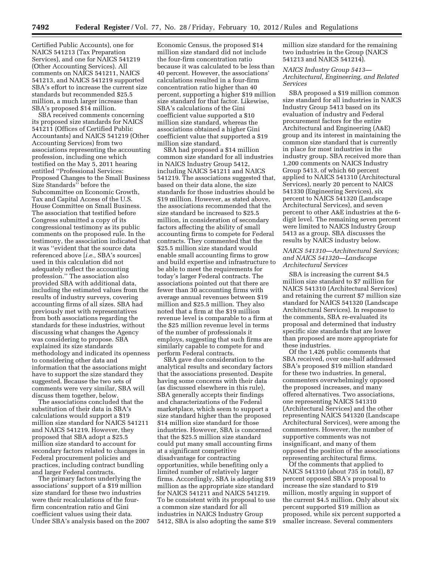Certified Public Accounts), one for NAICS 541213 (Tax Preparation Services), and one for NAICS 541219 (Other Accounting Services). All comments on NAICS 541211, NAICS 541213, and NAICS 541219 supported SBA's effort to increase the current size standards but recommended \$25.5 million, a much larger increase than SBA's proposed \$14 million.

SBA received comments concerning its proposed size standards for NAICS 541211 (Offices of Certified Public Accountants) and NAICS 541219 (Other Accounting Services) from two associations representing the accounting profession, including one which testified on the May 5, 2011 hearing entitled ''Professional Services: Proposed Changes to the Small Business Size Standards'' before the Subcommittee on Economic Growth, Tax and Capital Access of the U.S. House Committee on Small Business. The association that testified before Congress submitted a copy of its congressional testimony as its public comments on the proposed rule. In the testimony, the association indicated that it was ''evident that the source data referenced above [*i.e.,* SBA's sources] used in this calculation did not adequately reflect the accounting profession.'' The association also provided SBA with additional data, including the estimated values from the results of industry surveys, covering accounting firms of all sizes. SBA had previously met with representatives from both associations regarding the standards for these industries, without discussing what changes the Agency was considering to propose. SBA explained its size standards methodology and indicated its openness to considering other data and information that the associations might have to support the size standard they suggested. Because the two sets of comments were very similar, SBA will discuss them together, below.

The associations concluded that the substitution of their data in SBA's calculations would support a \$19 million size standard for NAICS 541211 and NAICS 541219. However, they proposed that SBA adopt a \$25.5 million size standard to account for secondary factors related to changes in Federal procurement policies and practices, including contract bundling and larger Federal contracts.

The primary factors underlying the associations' support of a \$19 million size standard for these two industries were their recalculations of the fourfirm concentration ratio and Gini coefficient values using their data. Under SBA's analysis based on the 2007

Economic Census, the proposed \$14 million size standard did not include the four-firm concentration ratio because it was calculated to be less than 40 percent. However, the associations' calculations resulted in a four-firm concentration ratio higher than 40 percent, supporting a higher \$19 million size standard for that factor. Likewise, SBA's calculations of the Gini coefficient value supported a \$10 million size standard, whereas the associations obtained a higher Gini coefficient value that supported a \$19 million size standard.

SBA had proposed a \$14 million common size standard for all industries in NAICS Industry Group 5412, including NAICS 541211 and NAICS 541219. The associations suggested that, based on their data alone, the size standards for those industries should be \$19 million. However, as stated above, the associations recommended that the size standard be increased to \$25.5 million, in consideration of secondary factors affecting the ability of small accounting firms to compete for Federal contracts. They commented that the \$25.5 million size standard would enable small accounting firms to grow and build expertise and infrastructure to be able to meet the requirements for today's larger Federal contracts. The associations pointed out that there are fewer than 30 accounting firms with average annual revenues between \$19 million and \$25.5 million. They also noted that a firm at the \$19 million revenue level is comparable to a firm at the \$25 million revenue level in terms of the number of professionals it employs, suggesting that such firms are similarly capable to compete for and perform Federal contracts.

SBA gave due consideration to the analytical results and secondary factors that the associations presented. Despite having some concerns with their data (as discussed elsewhere in this rule), SBA generally accepts their findings and characterizations of the Federal marketplace, which seem to support a size standard higher than the proposed \$14 million size standard for those industries. However, SBA is concerned that the \$25.5 million size standard could put many small accounting firms at a significant competitive disadvantage for contracting opportunities, while benefiting only a limited number of relatively larger firms. Accordingly, SBA is adopting \$19 million as the appropriate size standard for NAICS 541211 and NAICS 541219. To be consistent with its proposal to use a common size standard for all industries in NAICS Industry Group 5412, SBA is also adopting the same \$19 million size standard for the remaining two industries in the Group (NAICS 541213 and NAICS 541214).

*NAICS Industry Group 5413— Architectural, Engineering, and Related Services* 

SBA proposed a \$19 million common size standard for all industries in NAICS Industry Group 5413 based on its evaluation of industry and Federal procurement factors for the entire Architectural and Engineering (A&E) group and its interest in maintaining the common size standard that is currently in place for most industries in the industry group. SBA received more than 1,200 comments on NAICS Industry Group 5413, of which 60 percent applied to NAICS 541310 (Architectural Services), nearly 20 percent to NAICS 541330 (Engineering Services), six percent to NAICS 541320 (Landscape Architectural Services), and seven percent to other A&E industries at the 6 digit level. The remaining seven percent were limited to NAICS Industry Group 5413 as a group. SBA discusses the results by NAICS industry below.

# *NAICS 541310—Architectural Services; and NAICS 541320—Landscape Architectural Services*

SBA is increasing the current \$4.5 million size standard to \$7 million for NAICS 541310 (Architectural Services) and retaining the current \$7 million size standard for NAICS 541320 (Landscape Architectural Services). In response to the comments, SBA re-evaluated its proposal and determined that industry specific size standards that are lower than proposed are more appropriate for these industries.

Of the 1,426 public comments that SBA received, over one-half addressed SBA's proposed \$19 million standard for these two industries. In general, commenters overwhelmingly opposed the proposed increases, and many offered alternatives. Two associations, one representing NAICS 541310 (Architectural Services) and the other representing NAICS 541320 (Landscape Architectural Services), were among the commenters. However, the number of supportive comments was not insignificant, and many of them opposed the position of the associations representing architectural firms.

Of the comments that applied to NAICS 541310 (about 735 in total), 87 percent opposed SBA's proposal to increase the size standard to \$19 million, mostly arguing in support of the current \$4.5 million. Only about six percent supported \$19 million as proposed, while six percent supported a smaller increase. Several commenters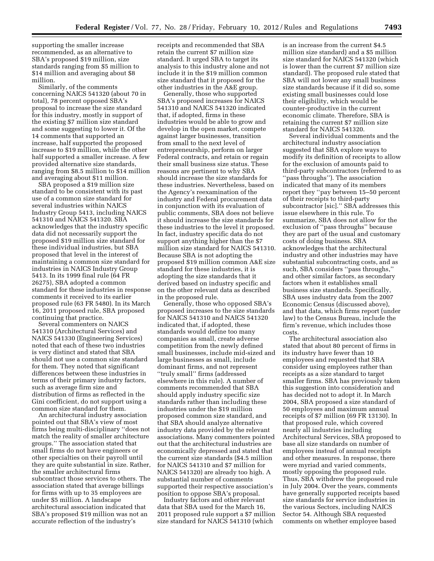supporting the smaller increase recommended, as an alternative to SBA's proposed \$19 million, size standards ranging from \$5 million to \$14 million and averaging about \$8 million.

Similarly, of the comments concerning NAICS 541320 (about 70 in total), 78 percent opposed SBA's proposal to increase the size standard for this industry, mostly in support of the existing \$7 million size standard and some suggesting to lower it. Of the 14 comments that supported an increase, half supported the proposed increase to \$19 million, while the other half supported a smaller increase. A few provided alternative size standards, ranging from \$8.5 million to \$14 million and averaging about \$11 million.

SBA proposed a \$19 million size standard to be consistent with its past use of a common size standard for several industries within NAICS Industry Group 5413, including NAICS 541310 and NAICS 541320. SBA acknowledges that the industry specific data did not necessarily support the proposed \$19 million size standard for these individual industries, but SBA proposed that level in the interest of maintaining a common size standard for industries in NAICS Industry Group 5413. In its 1999 final rule (64 FR 26275), SBA adopted a common standard for these industries in response comments it received to its earlier proposed rule (63 FR 5480). In its March 16, 2011 proposed rule, SBA proposed continuing that practice.

Several commenters on NAICS 541310 (Architectural Services) and NAICS 541330 (Engineering Services) noted that each of these two industries is very distinct and stated that SBA should not use a common size standard for them. They noted that significant differences between these industries in terms of their primary industry factors, such as average firm size and distribution of firms as reflected in the Gini coefficient, do not support using a common size standard for them.

An architectural industry association pointed out that SBA's view of most firms being multi-disciplinary ''does not match the reality of smaller architecture groups.'' The association stated that small firms do not have engineers or other specialties on their payroll until they are quite substantial in size. Rather, the smaller architectural firms subcontract those services to others. The association stated that average billings for firms with up to 35 employees are under \$5 million. A landscape architectural association indicated that SBA's proposed \$19 million was not an accurate reflection of the industry's

receipts and recommended that SBA retain the current \$7 million size standard. It urged SBA to target its analysis to this industry alone and not include it in the \$19 million common size standard that it proposed for the other industries in the A&E group.

Generally, those who supported SBA's proposed increases for NAICS 541310 and NAICS 541320 indicated that, if adopted, firms in these industries would be able to grow and develop in the open market, compete against larger businesses, transition from small to the next level of entrepreneurship, perform on larger Federal contracts, and retain or regain their small business size status. These reasons are pertinent to why SBA should increase the size standards for these industries. Nevertheless, based on the Agency's reexamination of the industry and Federal procurement data in conjunction with its evaluation of public comments, SBA does not believe it should increase the size standards for these industries to the level it proposed. In fact, industry specific data do not support anything higher than the \$7 million size standard for NAICS 541310. Because SBA is not adopting the proposed \$19 million common A&E size standard for these industries, it is adopting the size standards that it derived based on industry specific and on the other relevant data as described in the proposed rule.

Generally, those who opposed SBA's proposed increases to the size standards for NAICS 541310 and NAICS 541320 indicated that, if adopted, these standards would define too many companies as small, create adverse competition from the newly defined small businesses, include mid-sized and large businesses as small, include dominant firms, and not represent ''truly small'' firms (addressed elsewhere in this rule). A number of comments recommended that SBA should apply industry specific size standards rather than including these industries under the \$19 million proposed common size standard, and that SBA should analyze alternative industry data provided by the relevant associations. Many commenters pointed out that the architectural industries are economically depressed and stated that the current size standards (\$4.5 million for NAICS 541310 and \$7 million for NAICS 541320) are already too high. A substantial number of comments supported their respective association's position to oppose SBA's proposal.

Industry factors and other relevant data that SBA used for the March 16, 2011 proposed rule support a \$7 million size standard for NAICS 541310 (which

is an increase from the current \$4.5 million size standard) and a \$5 million size standard for NAICS 541320 (which is lower than the current \$7 million size standard). The proposed rule stated that SBA will not lower any small business size standards because if it did so, some existing small businesses could lose their eligibility, which would be counter-productive in the current economic climate. Therefore, SBA is retaining the current \$7 million size standard for NAICS 541320.

Several individual comments and the architectural industry association suggested that SBA explore ways to modify its definition of receipts to allow for the exclusion of amounts paid to third-party subcontractors (referred to as ''pass throughs''). The association indicated that many of its members report they ''pay between 15–50 percent of their receipts to third-party subcontractor [sic].'' SBA addresses this issue elsewhere in this rule. To summarize, SBA does not allow for the exclusion of ''pass throughs'' because they are part of the usual and customary costs of doing business. SBA acknowledges that the architectural industry and other industries may have substantial subcontracting costs, and as such, SBA considers ''pass throughs,'' and other similar factors, as secondary factors when it establishes small business size standards. Specifically, SBA uses industry data from the 2007 Economic Census (discussed above), and that data, which firms report (under law) to the Census Bureau, include the firm's revenue, which includes those costs.

The architectural association also stated that about 80 percent of firms in its industry have fewer than 10 employees and requested that SBA consider using employees rather than receipts as a size standard to target smaller firms. SBA has previously taken this suggestion into consideration and has decided not to adopt it. In March 2004, SBA proposed a size standard of 50 employees and maximum annual receipts of \$7 million (69 FR 13130). In that proposed rule, which covered nearly all industries including Architectural Services, SBA proposed to base all size standards on number of employees instead of annual receipts and other measures. In response, there were myriad and varied comments, mostly opposing the proposed rule. Thus, SBA withdrew the proposed rule in July 2004. Over the years, comments have generally supported receipts based size standards for service industries in the various Sectors, including NAICS Sector 54. Although SBA requested comments on whether employee based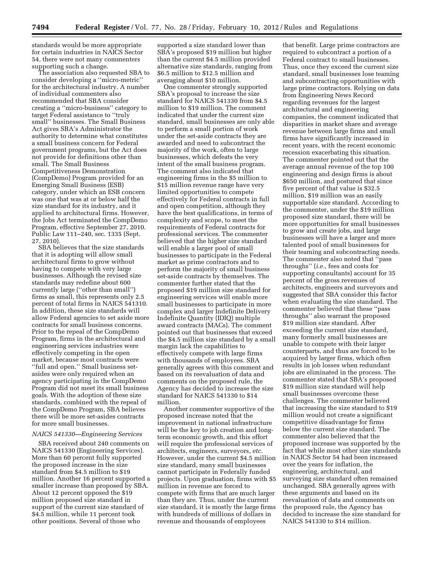standards would be more appropriate for certain industries in NAICS Sector 54, there were not many commenters supporting such a change.

The association also requested SBA to consider developing a ''micro-metric'' for the architectural industry. A number of individual commenters also recommended that SBA consider creating a ''micro-business'' category to target Federal assistance to ''truly small'' businesses. The Small Business Act gives SBA's Administrator the authority to determine what constitutes a small business concern for Federal government programs, but the Act does not provide for definitions other than small. The Small Business Competitiveness Demonstration (CompDemo) Program provided for an Emerging Small Business (ESB) category, under which an ESB concern was one that was at or below half the size standard for its industry, and it applied to architectural firms. However, the Jobs Act terminated the CompDemo Program, effective September 27, 2010. Public Law 111–240, sec. 1335 (Sept. 27, 2010).

SBA believes that the size standards that it is adopting will allow small architectural firms to grow without having to compete with very large businesses. Although the revised size standards may redefine about 600 currently large (''other than small'') firms as small, this represents only 2.5 percent of total firms in NAICS 541310. In addition, these size standards will allow Federal agencies to set aside more contracts for small business concerns. Prior to the repeal of the CompDemo Program, firms in the architectural and engineering services industries were effectively competing in the open market, because most contracts were ''full and open.'' Small business setasides were only required when an agency participating in the CompDemo Program did not meet its small business goals. With the adoption of these size standards, combined with the repeal of the CompDemo Program, SBA believes there will be more set-asides contracts for more small businesses.

#### *NAICS 541330—Engineering Services*

SBA received about 240 comments on NAICS 541330 (Engineering Services). More than 60 percent fully supported the proposed increase in the size standard from \$4.5 million to \$19 million. Another 16 percent supported a smaller increase than proposed by SBA. About 12 percent opposed the \$19 million proposed size standard in support of the current size standard of \$4.5 million, while 11 percent took other positions. Several of those who

supported a size standard lower than SBA's proposed \$19 million but higher than the current \$4.5 million provided alternative size standards, ranging from \$6.5 million to \$12.5 million and averaging about \$10 million.

One commenter strongly supported SBA's proposal to increase the size standard for NAICS 541330 from \$4.5 million to \$19 million. The comment indicated that under the current size standard, small businesses are only able to perform a small portion of work under the set-aside contracts they are awarded and need to subcontract the majority of the work, often to large businesses, which defeats the very intent of the small business program. The comment also indicated that engineering firms in the \$5 million to \$15 million revenue range have very limited opportunities to compete effectively for Federal contracts in full and open competition, although they have the best qualifications, in terms of complexity and scope, to meet the requirements of Federal contracts for professional services. The commenter believed that the higher size standard will enable a larger pool of small businesses to participate in the Federal market as prime contractors and to perform the majority of small business set-aside contracts by themselves. The commenter further stated that the proposed \$19 million size standard for engineering services will enable more small businesses to participate in more complex and larger Indefinite Delivery Indefinite Quantity (IDIQ) multiple award contracts (MACs). The comment pointed out that businesses that exceed the \$4.5 million size standard by a small margin lack the capabilities to effectively compete with large firms with thousands of employees. SBA generally agrees with this comment and based on its reevaluation of data and comments on the proposed rule, the Agency has decided to increase the size standard for NAICS 541330 to \$14 million.

Another commenter supportive of the proposed increase noted that the improvement in national infrastructure will be the key to job creation and longterm economic growth, and this effort will require the professional services of architects, engineers, surveyors, *etc.*  However, under the current \$4.5 million size standard, many small businesses cannot participate in Federally funded projects. Upon graduation, firms with \$5 million in revenue are forced to compete with firms that are much larger than they are. Thus, under the current size standard, it is mostly the large firms with hundreds of millions of dollars in revenue and thousands of employees

that benefit. Large prime contractors are required to subcontract a portion of a Federal contract to small businesses. Thus, once they exceed the current size standard, small businesses lose teaming and subcontracting opportunities with large prime contractors. Relying on data from Engineering News Record regarding revenues for the largest architectural and engineering companies, the comment indicated that disparities in market share and average revenue between large firms and small firms have significantly increased in recent years, with the recent economic recession exacerbating this situation. The commenter pointed out that the average annual revenue of the top 100 engineering and design firms is about \$650 million, and postured that since five percent of that value is \$32.5 million, \$19 million was an easily supportable size standard. According to the commenter, under the \$19 million proposed size standard, there will be more opportunities for small businesses to grow and create jobs, and large businesses will have a larger and more talented pool of small businesses for their teaming and subcontracting needs. The commenter also noted that ''pass throughs'' (*i.e.,* fees and costs for supporting consultants) account for 35 percent of the gross revenues of architects, engineers and surveyors and suggested that SBA consider this factor when evaluating the size standard. The commenter believed that these ''pass throughs'' also warrant the proposed \$19 million size standard. After exceeding the current size standard, many formerly small businesses are unable to compete with their larger counterparts, and thus are forced to be acquired by larger firms, which often results in job losses when redundant jobs are eliminated in the process. The commenter stated that SBA's proposed \$19 million size standard will help small businesses overcome these challenges. The commenter believed that increasing the size standard to \$19 million would not create a significant competitive disadvantage for firms below the current size standard. The commenter also believed that the proposed increase was supported by the fact that while most other size standards in NAICS Sector 54 had been increased over the years for inflation, the engineering, architectural, and surveying size standard often remained unchanged. SBA generally agrees with these arguments and based on its reevaluation of data and comments on the proposed rule, the Agency has decided to increase the size standard for NAICS 541330 to \$14 million.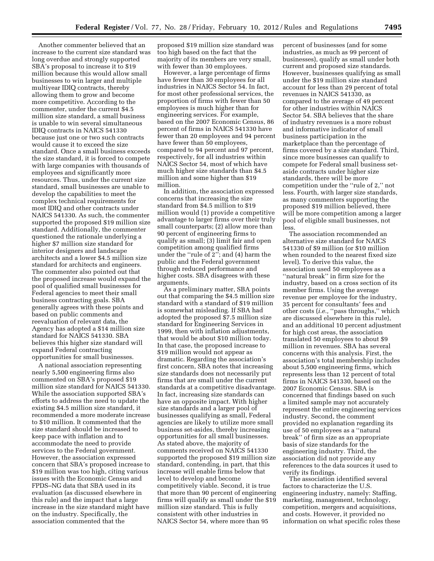Another commenter believed that an increase to the current size standard was long overdue and strongly supported SBA's proposal to increase it to \$19 million because this would allow small businesses to win larger and multiple multiyear IDIQ contracts, thereby allowing them to grow and become more competitive. According to the commenter, under the current \$4.5 million size standard, a small business is unable to win several simultaneous IDIQ contracts in NAICS 541330 because just one or two such contracts would cause it to exceed the size standard. Once a small business exceeds the size standard, it is forced to compete with large companies with thousands of employees and significantly more resources. Thus, under the current size standard, small businesses are unable to develop the capabilities to meet the complex technical requirements for most IDIQ and other contracts under NAICS 541330. As such, the commenter supported the proposed \$19 million size standard. Additionally, the commenter questioned the rationale underlying a higher \$7 million size standard for interior designers and landscape architects and a lower \$4.5 million size standard for architects and engineers. The commenter also pointed out that the proposed increase would expand the pool of qualified small businesses for Federal agencies to meet their small business contracting goals. SBA generally agrees with these points and based on public comments and reevaluation of relevant data, the Agency has adopted a \$14 million size standard for NAICS 541330. SBA believes this higher size standard will expand Federal contracting opportunities for small businesses.

A national association representing nearly 5,500 engineering firms also commented on SBA's proposed \$19 million size standard for NAICS 541330. While the association supported SBA's efforts to address the need to update the existing \$4.5 million size standard, it recommended a more moderate increase to \$10 million. It commented that the size standard should be increased to keep pace with inflation and to accommodate the need to provide services to the Federal government. However, the association expressed concern that SBA's proposed increase to \$19 million was too high, citing various issues with the Economic Census and FPDS–NG data that SBA used in its evaluation (as discussed elsewhere in this rule) and the impact that a large increase in the size standard might have on the industry. Specifically, the association commented that the

proposed \$19 million size standard was too high based on the fact that the majority of its members are very small, with fewer than 30 employees.

However, a large percentage of firms have fewer than 30 employees for all industries in NAICS Sector 54. In fact, for most other professional services, the proportion of firms with fewer than 50 employees is much higher than for engineering services. For example, based on the 2007 Economic Census, 86 percent of firms in NAICS 541330 have fewer than 20 employees and 94 percent have fewer than 50 employees, compared to 94 percent and 97 percent, respectively, for all industries within NAICS Sector 54, most of which have much higher size standards than \$4.5 million and some higher than \$19 million.

In addition, the association expressed concerns that increasing the size standard from \$4.5 million to \$19 million would (1) provide a competitive advantage to larger firms over their truly small counterparts; (2) allow more than 90 percent of engineering firms to qualify as small; (3) limit fair and open competition among qualified firms under the ''rule of 2''; and (4) harm the public and the Federal government through reduced performance and higher costs. SBA disagrees with these arguments.

As a preliminary matter, SBA points out that comparing the \$4.5 million size standard with a standard of \$19 million is somewhat misleading. If SBA had adopted the proposed \$7.5 million size standard for Engineering Services in 1999, then with inflation adjustments, that would be about \$10 million today. In that case, the proposed increase to \$19 million would not appear as dramatic. Regarding the association's first concern, SBA notes that increasing size standards does not necessarily put firms that are small under the current standards at a competitive disadvantage. In fact, increasing size standards can have an opposite impact. With higher size standards and a larger pool of businesses qualifying as small, Federal agencies are likely to utilize more small business set-asides, thereby increasing opportunities for all small businesses. As stated above, the majority of comments received on NAICS 541330 supported the proposed \$19 million size standard, contending, in part, that this increase will enable firms below that level to develop and become competitively viable. Second, it is true that more than 90 percent of engineering firms will qualify as small under the \$19 million size standard. This is fully consistent with other industries in NAICS Sector 54, where more than 95

percent of businesses (and for some industries, as much as 99 percent of businesses), qualify as small under both current and proposed size standards. However, businesses qualifying as small under the \$19 million size standard account for less than 29 percent of total revenues in NAICS 541330, as compared to the average of 49 percent for other industries within NAICS Sector 54. SBA believes that the share of industry revenues is a more robust and informative indicator of small business participation in the marketplace than the percentage of firms covered by a size standard. Third, since more businesses can qualify to compete for Federal small business setaside contracts under higher size standards, there will be more competition under the ''rule of 2,'' not less. Fourth, with larger size standards, as many commenters supporting the proposed \$19 million believed, there will be more competition among a larger pool of eligible small businesses, not less.

The association recommended an alternative size standard for NAICS 541330 of \$9 million (or \$10 million when rounded to the nearest fixed size level). To derive this value, the association used 50 employees as a ''natural break'' in firm size for the industry, based on a cross section of its member firms. Using the average revenue per employee for the industry, 35 percent for consultants' fees and other costs (*i.e.,* ''pass throughs,'' which are discussed elsewhere in this rule), and an additional 10 percent adjustment for high cost areas, the association translated 50 employees to about \$9 million in revenues. SBA has several concerns with this analysis. First, the association's total membership includes about 5,500 engineering firms, which represents less than 12 percent of total firms in NAICS 541330, based on the 2007 Economic Census. SBA is concerned that findings based on such a limited sample may not accurately represent the entire engineering services industry. Second, the comment provided no explanation regarding its use of 50 employees as a ''natural break'' of firm size as an appropriate basis of size standards for the engineering industry. Third, the association did not provide any references to the data sources it used to verify its findings.

The association identified several factors to characterize the U.S. engineering industry, namely: Staffing, marketing, management, technology, competition, mergers and acquisitions, and costs. However, it provided no information on what specific roles these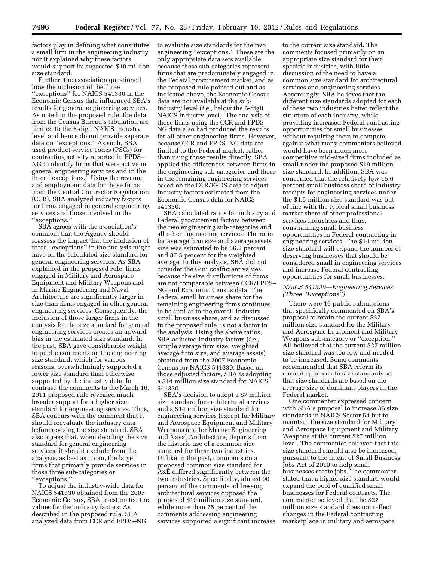factors play in defining what constitutes a small firm in the engineering industry nor it explained why these factors would support its suggested \$10 million size standard.

Further, the association questioned how the inclusion of the three ''exceptions'' for NAICS 541330 in the Economic Census data influenced SBA's results for general engineering services. As noted in the proposed rule, the data from the Census Bureau's tabulation are limited to the 6-digit NAICS industry level and hence do not provide separate data on ''exceptions.'' As such, SBA used product service codes (PSCs) for contracting activity reported in FPDS– NG to identify firms that were active in general engineering services and in the three ''exceptions.'' Using the revenue and employment data for those firms from the Central Contractor Registration (CCR), SBA analyzed industry factors for firms engaged in general engineering services and those involved in the ''exceptions.''

SBA agrees with the association's comment that the Agency should reassess the impact that the inclusion of three ''exceptions'' in the analysis might have on the calculated size standard for general engineering services. As SBA explained in the proposed rule, firms engaged in Military and Aerospace Equipment and Military Weapons and in Marine Engineering and Naval Architecture are significantly larger in size than firms engaged in other general engineering services. Consequently, the inclusion of those larger firms in the analysis for the size standard for general engineering services creates an upward bias in the estimated size standard. In the past, SBA gave considerable weight to public comments on the engineering size standard, which for various reasons, overwhelmingly supported a lower size standard than otherwise supported by the industry data. In contrast, the comments to the March 16, 2011 proposed rule revealed much broader support for a higher size standard for engineering services. Thus, SBA concurs with the comment that it should reevaluate the industry data before revising the size standard. SBA also agrees that, when deciding the size standard for general engineering services, it should exclude from the analysis, as best as it can, the larger firms that primarily provide services in those three sub-categories or ''exceptions.''

To adjust the industry-wide data for NAICS 541330 obtained from the 2007 Economic Census, SBA re-estimated the values for the industry factors. As described in the proposed rule, SBA analyzed data from CCR and FPDS–NG

to evaluate size standards for the two engineering ''exceptions.'' These are the only appropriate data sets available because these sub-categories represent firms that are predominately engaged in the Federal procurement market, and as the proposed rule pointed out and as indicated above, the Economic Census data are not available at the subindustry level (*i.e.,* below the 6-digit NAICS industry level). The analysis of those firms using the CCR and FPDS– NG data also had produced the results for all other engineering firms. However, because CCR and FPDS–NG data are limited to the Federal market, rather than using those results directly, SBA applied the differences between firms in the engineering sub-categories and those in the remaining engineering services based on the CCR/FPDS data to adjust industry factors estimated from the Economic Census data for NAICS 541330.

SBA calculated ratios for industry and Federal procurement factors between the two engineering sub-categories and all other engineering services. The ratio for average firm size and average assets size was estimated to be 66.2 percent and 87.5 percent for the weighted average. In this analysis, SBA did not consider the Gini coefficient values, because the size distributions of firms are not comparable between CCR/FPDS– NG and Economic Census data. The Federal small business share for the remaining engineering firms continues to be similar to the overall industry small business share, and as discussed in the proposed rule, is not a factor in the analysis. Using the above ratios, SBA adjusted industry factors (*i.e.,*  simple average firm size, weighted average firm size, and average assets) obtained from the 2007 Economic Census for NAICS 541330. Based on those adjusted factors, SBA is adopting a \$14 million size standard for NAICS 541330.

SBA's decision to adopt a \$7 million size standard for architectural services and a \$14 million size standard for engineering services (except for Military and Aerospace Equipment and Military Weapons and for Marine Engineering and Naval Architecture) departs from the historic use of a common size standard for these two industries. Unlike in the past, comments on a proposed common size standard for A&E differed significantly between the two industries. Specifically, almost 90 percent of the comments addressing architectural services opposed the proposed \$19 million size standard, while more than 75 percent of the comments addressing engineering services supported a significant increase

to the current size standard. The comments focused primarily on an appropriate size standard for their specific industries, with little discussion of the need to have a common size standard for architectural services and engineering services. Accordingly, SBA believes that the different size standards adopted for each of these two industries better reflect the structure of each industry, while providing increased Federal contracting opportunities for small businesses without requiring them to compete against what many commenters believed would have been much more competitive mid-sized firms included as small under the proposed \$19 million size standard. In addition, SBA was concerned that the relatively low 15.6 percent small business share of industry receipts for engineering services under the \$4.5 million size standard was out of line with the typical small business market share of other professional services industries and thus, constraining small business opportunities in Federal contracting in engineering services. The \$14 million size standard will expand the number of deserving businesses that should be considered small in engineering services and increase Federal contracting opportunities for small businesses.

## *NAICS 541330—Engineering Services (Three ''Exceptions'')*

There were 16 public submissions that specifically commented on SBA's proposal to retain the current \$27 million size standard for the Military and Aerospace Equipment and Military Weapons sub-category or ''exception.'' All believed that the current \$27 million size standard was too low and needed to be increased. Some comments recommended that SBA reform its current approach to size standards so that size standards are based on the average size of dominant players in the Federal market.

One commenter expressed concern with SBA's proposal to increase 36 size standards in NAICS Sector 54 but to maintain the size standard for Military and Aerospace Equipment and Military Weapons at the current \$27 million level. The commenter believed that this size standard should also be increased, pursuant to the intent of Small Business Jobs Act of 2010 to help small businesses create jobs. The commenter stated that a higher size standard would expand the pool of qualified small businesses for Federal contracts. The commenter believed that the \$27 million size standard does not reflect changes in the Federal contracting marketplace in military and aerospace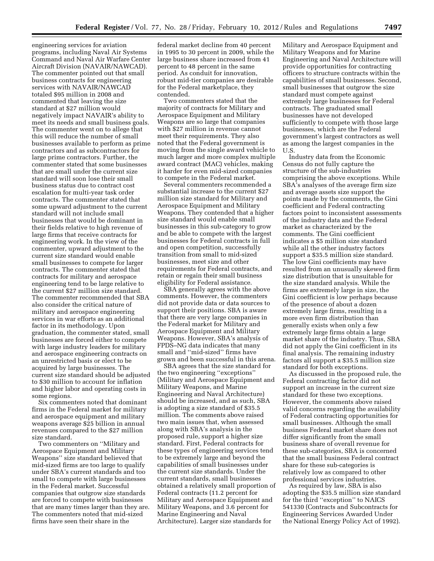engineering services for aviation programs, including Naval Air Systems Command and Naval Air Warfare Center Aircraft Division (NAVAIR/NAWCAD). The commenter pointed out that small business contracts for engineering services with NAVAIR/NAWCAD totaled \$95 million in 2008 and commented that leaving the size standard at \$27 million would negatively impact NAVAIR's ability to meet its needs and small business goals. The commenter went on to allege that this will reduce the number of small businesses available to perform as prime contractors and as subcontractors for large prime contractors. Further, the commenter stated that some businesses that are small under the current size standard will soon lose their small business status due to contract cost escalation for multi-year task order contracts. The commenter stated that some upward adjustment to the current standard will not include small businesses that would be dominant in their fields relative to high revenue of large firms that receive contracts for engineering work. In the view of the commenter, upward adjustment to the current size standard would enable small businesses to compete for larger contracts. The commenter stated that contracts for military and aerospace engineering tend to be large relative to the current \$27 million size standard. The commenter recommended that SBA also consider the critical nature of military and aerospace engineering services in war efforts as an additional factor in its methodology. Upon graduation, the commenter stated, small businesses are forced either to compete with large industry leaders for military and aerospace engineering contracts on an unrestricted basis or elect to be acquired by large businesses. The current size standard should be adjusted to \$30 million to account for inflation and higher labor and operating costs in some regions.

Six commenters noted that dominant firms in the Federal market for military and aerospace equipment and military weapons average \$25 billion in annual revenues compared to the \$27 million size standard.

Two commenters on ''Military and Aerospace Equipment and Military Weapons'' size standard believed that mid-sized firms are too large to qualify under SBA's current standards and too small to compete with large businesses in the Federal market. Successful companies that outgrow size standards are forced to compete with businesses that are many times larger than they are. The commenters noted that mid-sized firms have seen their share in the

federal market decline from 40 percent in 1995 to 30 percent in 2009, while the large business share increased from 41 percent to 48 percent in the same period. As conduit for innovation, robust mid-tier companies are desirable for the Federal marketplace, they contended.

Two commenters stated that the majority of contracts for Military and Aerospace Equipment and Military Weapons are so large that companies with \$27 million in revenue cannot meet their requirements. They also noted that the Federal government is moving from the single award vehicle to much larger and more complex multiple award contract (MAC) vehicles, making it harder for even mid-sized companies to compete in the Federal market.

Several commenters recommended a substantial increase to the current \$27 million size standard for Military and Aerospace Equipment and Military Weapons. They contended that a higher size standard would enable small businesses in this sub-category to grow and be able to compete with the largest businesses for Federal contracts in full and open competition, successfully transition from small to mid-sized businesses, meet size and other requirements for Federal contracts, and retain or regain their small business eligibility for Federal assistance.

SBA generally agrees with the above comments. However, the commenters did not provide data or data sources to support their positions. SBA is aware that there are very large companies in the Federal market for Military and Aerospace Equipment and Military Weapons. However, SBA's analysis of FPDS–NG data indicates that many small and ''mid-sized'' firms have grown and been successful in this arena.

SBA agrees that the size standard for the two engineering ''exceptions'' (Military and Aerospace Equipment and Military Weapons, and Marine Engineering and Naval Architecture) should be increased, and as such, SBA is adopting a size standard of \$35.5 million. The comments above raised two main issues that, when assessed along with SBA's analysis in the proposed rule, support a higher size standard. First, Federal contracts for these types of engineering services tend to be extremely large and beyond the capabilities of small businesses under the current size standards. Under the current standards, small businesses obtained a relatively small proportion of Federal contracts (11.2 percent for Military and Aerospace Equipment and Military Weapons, and 3.6 percent for Marine Engineering and Naval Architecture). Larger size standards for

Military and Aerospace Equipment and Military Weapons and for Marine Engineering and Naval Architecture will provide opportunities for contracting officers to structure contracts within the capabilities of small businesses. Second, small businesses that outgrow the size standard must compete against extremely large businesses for Federal contracts. The graduated small businesses have not developed sufficiently to compete with those large businesses, which are the Federal government's largest contractors as well as among the largest companies in the U.S.

Industry data from the Economic Census do not fully capture the structure of the sub-industries comprising the above exceptions. While SBA's analyses of the average firm size and average assets size support the points made by the comments, the Gini coefficient and Federal contracting factors point to inconsistent assessments of the industry data and the Federal market as characterized by the comments. The Gini coefficient indicates a \$5 million size standard while all the other industry factors support a \$35.5 million size standard. The low Gini coefficients may have resulted from an unusually skewed firm size distribution that is unsuitable for the size standard analysis. While the firms are extremely large in size, the Gini coefficient is low perhaps because of the presence of about a dozen extremely large firms, resulting in a more even firm distribution than generally exists when only a few extremely large firms obtain a large market share of the industry. Thus, SBA did not apply the Gini coefficient in its final analysis. The remaining industry factors all support a \$35.5 million size standard for both exceptions.

As discussed in the proposed rule, the Federal contracting factor did not support an increase in the current size standard for these two exceptions. However, the comments above raised valid concerns regarding the availability of Federal contracting opportunities for small businesses. Although the small business Federal market share does not differ significantly from the small business share of overall revenue for these sub-categories, SBA is concerned that the small business Federal contract share for these sub-categories is relatively low as compared to other professional services industries.

As required by law, SBA is also adopting the \$35.5 million size standard for the third ''exception'' to NAICS 541330 (Contracts and Subcontracts for Engineering Services Awarded Under the National Energy Policy Act of 1992).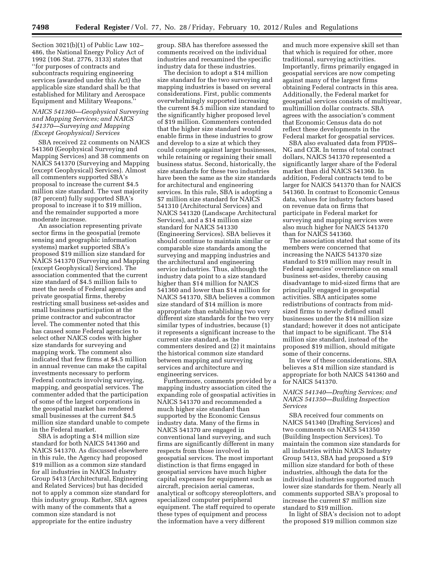Section 3021(b)(1) of Public Law 102– 486, the National Energy Policy Act of 1992 (106 Stat. 2776, 3133) states that ''for purposes of contracts and subcontracts requiring engineering services (awarded under this Act) the applicable size standard shall be that established for Military and Aerospace Equipment and Military Weapons.''

# *NAICS 541360—Geophysical Surveying and Mapping Services; and NAICS 541370—Surveying and Mapping (Except Geophysical) Services*

SBA received 22 comments on NAICS 541360 (Geophysical Surveying and Mapping Services) and 38 comments on NAICS 541370 (Surveying and Mapping (except Geophysical) Services). Almost all commenters supported SBA's proposal to increase the current \$4.5 million size standard. The vast majority (87 percent) fully supported SBA's proposal to increase it to \$19 million, and the remainder supported a more moderate increase.

An association representing private sector firms in the geospatial (remote sensing and geographic information systems) market supported SBA's proposed \$19 million size standard for NAICS 541370 (Surveying and Mapping (except Geophysical) Services). The association commented that the current size standard of \$4.5 million fails to meet the needs of Federal agencies and private geospatial firms, thereby restricting small business set-asides and small business participation at the prime contractor and subcontractor level. The commenter noted that this has caused some Federal agencies to select other NAICS codes with higher size standards for surveying and mapping work. The comment also indicated that few firms at \$4.5 million in annual revenue can make the capital investments necessary to perform Federal contracts involving surveying, mapping, and geospatial services. The commenter added that the participation of some of the largest corporations in the geospatial market has rendered small businesses at the current \$4.5 million size standard unable to compete in the Federal market.

SBA is adopting a \$14 million size standard for both NAICS 541360 and NAICS 541370. As discussed elsewhere in this rule, the Agency had proposed \$19 million as a common size standard for all industries in NAICS Industry Group 5413 (Architectural, Engineering and Related Services) but has decided not to apply a common size standard for this industry group. Rather, SBA agrees with many of the comments that a common size standard is not appropriate for the entire industry

group. SBA has therefore assessed the comments received on the individual industries and reexamined the specific industry data for these industries.

The decision to adopt a \$14 million size standard for the two surveying and mapping industries is based on several considerations. First, public comments overwhelmingly supported increasing the current \$4.5 million size standard to the significantly higher proposed level of \$19 million. Commenters contended that the higher size standard would enable firms in these industries to grow and develop to a size at which they could compete against larger businesses, while retaining or regaining their small business status. Second, historically, the size standards for these two industries have been the same as the size standards for architectural and engineering services. In this rule, SBA is adopting a \$7 million size standard for NAICS 541310 (Architectural Services) and NAICS 541320 (Landscape Architectural Services), and a \$14 million size standard for NAICS 541330 (Engineering Services). SBA believes it should continue to maintain similar or comparable size standards among the surveying and mapping industries and the architectural and engineering service industries. Thus, although the industry data point to a size standard higher than \$14 million for NAICS 541360 and lower than \$14 million for NAICS 541370, SBA believes a common size standard of \$14 million is more appropriate than establishing two very different size standards for the two very similar types of industries, because (1) it represents a significant increase to the current size standard, as the commenters desired and (2) it maintains the historical common size standard between mapping and surveying services and architecture and engineering services.

Furthermore, comments provided by a mapping industry association cited the expanding role of geospatial activities in NAICS 541370 and recommended a much higher size standard than supported by the Economic Census industry data. Many of the firms in NAICS 541370 are engaged in conventional land surveying, and such firms are significantly different in many respects from those involved in geospatial services. The most important distinction is that firms engaged in geospatial services have much higher capital expenses for equipment such as aircraft, precision aerial cameras, analytical or softcopy stereoplotters, and specialized computer peripheral equipment. The staff required to operate these types of equipment and process the information have a very different

and much more expensive skill set than that which is required for other, more traditional, surveying activities. Importantly, firms primarily engaged in geospatial services are now competing against many of the largest firms obtaining Federal contracts in this area. Additionally, the Federal market for geospatial services consists of multiyear, multimillion dollar contracts. SBA agrees with the association's comment that Economic Census data do not reflect these developments in the Federal market for geospatial services.

SBA also evaluated data from FPDS– NG and CCR. In terms of total contract dollars, NAICS 541370 represented a significantly larger share of the Federal market than did NAICS 541360. In addition, Federal contracts tend to be larger for NAICS 541370 than for NAICS 541360. In contrast to Economic Census data, values for industry factors based on revenue data on firms that participate in Federal market for surveying and mapping services were also much higher for NAICS 541370 than for NAICS 541360.

The association stated that some of its members were concerned that increasing the NAICS 541370 size standard to \$19 million may result in Federal agencies' overreliance on small business set-asides, thereby causing disadvantage to mid-sized firms that are principally engaged in geospatial activities. SBA anticipates some redistributions of contracts from midsized firms to newly defined small businesses under the \$14 million size standard; however it does not anticipate that impact to be significant. The \$14 million size standard, instead of the proposed \$19 million, should mitigate some of their concerns.

In view of these considerations, SBA believes a \$14 million size standard is appropriate for both NAICS 541360 and for NAICS 541370.

# *NAICS 541340—Drafting Services; and NAICS 541350—Building Inspection Services*

SBA received four comments on NAICS 541340 (Drafting Services) and two comments on NAICS 541350 (Building Inspection Services). To maintain the common size standards for all industries within NAICS Industry Group 5413, SBA had proposed a \$19 million size standard for both of these industries, although the data for the individual industries supported much lower size standards for them. Nearly all comments supported SBA's proposal to increase the current \$7 million size standard to \$19 million.

In light of SBA's decision not to adopt the proposed \$19 million common size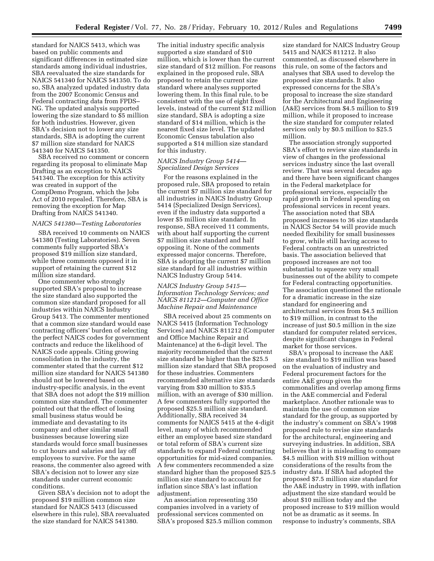standard for NAICS 5413, which was based on public comments and significant differences in estimated size standards among individual industries, SBA reevaluated the size standards for NAICS 541340 for NAICS 541350. To do so, SBA analyzed updated industry data from the 2007 Economic Census and Federal contracting data from FPDS– NG. The updated analysis supported lowering the size standard to \$5 million for both industries. However, given SBA's decision not to lower any size standards, SBA is adopting the current \$7 million size standard for NAICS 541340 for NAICS 541350.

SBA received no comment or concern regarding its proposal to eliminate Map Drafting as an exception to NAICS 541340. The exception for this activity was created in support of the CompDemo Program, which the Jobs Act of 2010 repealed. Therefore, SBA is removing the exception for Map Drafting from NAICS 541340.

#### *NAICS 541380—Testing Laboratories*

SBA received 10 comments on NAICS 541380 (Testing Laboratories). Seven comments fully supported SBA's proposed \$19 million size standard, while three comments opposed it in support of retaining the current \$12 million size standard.

One commenter who strongly supported SBA's proposal to increase the size standard also supported the common size standard proposed for all industries within NAICS Industry Group 5413. The commenter mentioned that a common size standard would ease contracting officers' burden of selecting the perfect NAICS codes for government contracts and reduce the likelihood of NAICS code appeals. Citing growing consolidation in the industry, the commenter stated that the current \$12 million size standard for NAICS 541380 should not be lowered based on industry-specific analysis, in the event that SBA does not adopt the \$19 million common size standard. The commenter pointed out that the effect of losing small business status would be immediate and devastating to its company and other similar small businesses because lowering size standards would force small businesses to cut hours and salaries and lay off employees to survive. For the same reasons, the commenter also agreed with SBA's decision not to lower any size standards under current economic conditions.

Given SBA's decision not to adopt the proposed \$19 million common size standard for NAICS 5413 (discussed elsewhere in this rule), SBA reevaluated the size standard for NAICS 541380.

The initial industry specific analysis supported a size standard of \$10 million, which is lower than the current size standard of \$12 million. For reasons explained in the proposed rule, SBA proposed to retain the current size standard where analyses supported lowering them. In this final rule, to be consistent with the use of eight fixed levels, instead of the current \$12 million size standard, SBA is adopting a size standard of \$14 million, which is the nearest fixed size level. The updated Economic Census tabulation also supported a \$14 million size standard for this industry.

# *NAICS Industry Group 5414— Specialized Design Services*

For the reasons explained in the proposed rule, SBA proposed to retain the current \$7 million size standard for all industries in NAICS Industry Group 5414 (Specialized Design Services), even if the industry data supported a lower \$5 million size standard. In response, SBA received 11 comments, with about half supporting the current \$7 million size standard and half opposing it. None of the comments expressed major concerns. Therefore, SBA is adopting the current \$7 million size standard for all industries within NAICS Industry Group 5414.

# *NAICS Industry Group 5415— Information Technology Services; and NAICS 811212—Computer and Office Machine Repair and Maintenance*

SBA received about 25 comments on NAICS 5415 (Information Technology Services) and NAICS 811212 (Computer and Office Machine Repair and Maintenance) at the 6-digit level. The majority recommended that the current size standard be higher than the \$25.5 million size standard that SBA proposed for these industries. Commenters recommended alternative size standards varying from \$30 million to \$35.5 million, with an average of \$30 million. A few commenters fully supported the proposed \$25.5 million size standard. Additionally, SBA received 34 comments for NAICS 5415 at the 4-digit level, many of which recommended either an employee based size standard or total reform of SBA's current size standards to expand Federal contracting opportunities for mid-sized companies. A few commenters recommended a size standard higher than the proposed \$25.5 million size standard to account for inflation since SBA's last inflation adjustment.

An association representing 350 companies involved in a variety of professional services commented on SBA's proposed \$25.5 million common

size standard for NAICS Industry Group 5415 and NAICS 811212. It also commented, as discussed elsewhere in this rule, on some of the factors and analyses that SBA used to develop the proposed size standards. It also expressed concerns for the SBA's proposal to increase the size standard for the Architectural and Engineering (A&E) services from \$4.5 million to \$19 million, while it proposed to increase the size standard for computer related services only by \$0.5 million to \$25.5 million.

The association strongly supported SBA's effort to review size standards in view of changes in the professional services industry since the last overall review. That was several decades ago and there have been significant changes in the Federal marketplace for professional services, especially the rapid growth in Federal spending on professional services in recent years. The association noted that SBA proposed increases to 36 size standards in NAICS Sector 54 will provide much needed flexibility for small businesses to grow, while still having access to Federal contracts on an unrestricted basis. The association believed that proposed increases are not too substantial to squeeze very small businesses out of the ability to compete for Federal contracting opportunities. The association questioned the rationale for a dramatic increase in the size standard for engineering and architectural services from \$4.5 million to \$19 million, in contrast to the increase of just \$0.5 million in the size standard for computer related services, despite significant changes in Federal market for those services.

SBA's proposal to increase the A&E size standard to \$19 million was based on the evaluation of industry and Federal procurement factors for the entire A&E group given the commonalities and overlap among firms in the A&E commercial and Federal marketplace. Another rationale was to maintain the use of common size standard for the group, as supported by the industry's comment on SBA's 1998 proposed rule to revise size standards for the architectural, engineering and surveying industries. In addition, SBA believes that it is misleading to compare \$4.5 million with \$19 million without considerations of the results from the industry data. If SBA had adopted the proposed \$7.5 million size standard for the A&E industry in 1999, with inflation adjustment the size standard would be about \$10 million today and the proposed increase to \$19 million would not be as dramatic as it seems. In response to industry's comments, SBA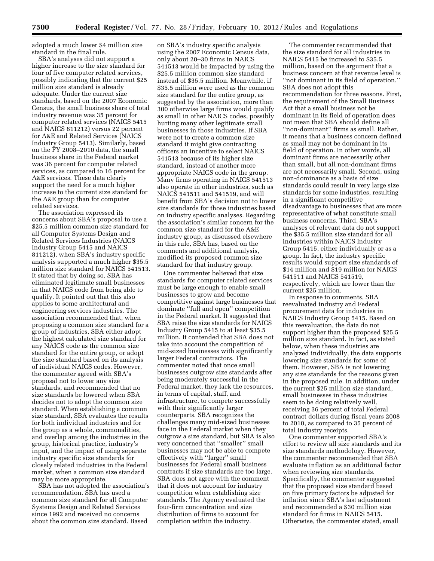adopted a much lower \$4 million size standard in the final rule.

SBA's analyses did not support a higher increase to the size standard for four of five computer related services, possibly indicating that the current \$25 million size standard is already adequate. Under the current size standards, based on the 2007 Economic Census, the small business share of total industry revenue was 35 percent for computer related services (NAICS 5415 and NAICS 811212) versus 22 percent for A&E and Related Services (NAICS Industry Group 5413). Similarly, based on the FY 2008–2010 data, the small business share in the Federal market was 36 percent for computer related services, as compared to 16 percent for A&E services. These data clearly support the need for a much higher increase to the current size standard for the A&E group than for computer related services.

The association expressed its concerns about SBA's proposal to use a \$25.5 million common size standard for all Computer Systems Design and Related Services Industries (NAICS Industry Group 5415 and NAICS 811212), when SBA's industry specific analysis supported a much higher \$35.5 million size standard for NAICS 541513. It stated that by doing so, SBA has eliminated legitimate small businesses in that NAICS code from being able to qualify. It pointed out that this also applies to some architectural and engineering services industries. The association recommended that, when proposing a common size standard for a group of industries, SBA either adopt the highest calculated size standard for any NAICS code as the common size standard for the entire group, or adopt the size standard based on its analysis of individual NAICS codes. However, the commenter agreed with SBA's proposal not to lower any size standards, and recommended that no size standards be lowered when SBA decides not to adopt the common size standard. When establishing a common size standard, SBA evaluates the results for both individual industries and for the group as a whole, commonalities, and overlap among the industries in the group, historical practice, industry's input, and the impact of using separate industry specific size standards for closely related industries in the Federal market, when a common size standard may be more appropriate.

SBA has not adopted the association's recommendation. SBA has used a common size standard for all Computer Systems Design and Related Services since 1992 and received no concerns about the common size standard. Based

on SBA's industry specific analysis using the 2007 Economic Census data, only about 20–30 firms in NAICS 541513 would be impacted by using the \$25.5 million common size standard instead of \$35.5 million. Meanwhile, if \$35.5 million were used as the common size standard for the entire group, as suggested by the association, more than 300 otherwise large firms would qualify as small in other NAICS codes, possibly hurting many other legitimate small businesses in those industries. If SBA were not to create a common size standard it might give contracting officers an incentive to select NAICS 541513 because of its higher size standard, instead of another more appropriate NAICS code in the group. Many firms operating in NAICS 541513 also operate in other industries, such as NAICS 541511 and 541519, and will benefit from SBA's decision not to lower size standards for those industries based on industry specific analyses. Regarding the association's similar concern for the common size standard for the A&E industry group, as discussed elsewhere in this rule, SBA has, based on the comments and additional analysis, modified its proposed common size standard for that industry group.

One commenter believed that size standards for computer related services must be large enough to enable small businesses to grow and become competitive against large businesses that dominate ''full and open'' competition in the Federal market. It suggested that SBA raise the size standards for NAICS Industry Group 5415 to at least \$35.5 million. It contended that SBA does not take into account the competition of mid-sized businesses with significantly larger Federal contractors. The commenter noted that once small businesses outgrow size standards after being moderately successful in the Federal market, they lack the resources, in terms of capital, staff, and infrastructure, to compete successfully with their significantly larger counterparts. SBA recognizes the challenges many mid-sized businesses face in the Federal market when they outgrow a size standard, but SBA is also very concerned that ''smaller'' small businesses may not be able to compete effectively with ''larger'' small businesses for Federal small business contracts if size standards are too large. SBA does not agree with the comment that it does not account for industry competition when establishing size standards. The Agency evaluated the four-firm concentration and size distribution of firms to account for completion within the industry.

The commenter recommended that the size standard for all industries in NAICS 5415 be increased to \$35.5 million, based on the argument that a business concern at that revenue level is ''not dominant in its field of operation.'' SBA does not adopt this recommendation for three reasons. First, the requirement of the Small Business Act that a small business not be dominant in its field of operation does not mean that SBA should define all ''non-dominant'' firms as small. Rather, it means that a business concern defined as small may not be dominant in its field of operation. In other words, all dominant firms are necessarily other than small, but all non-dominant firms are not necessarily small. Second, using non-dominance as a basis of size standards could result in very large size standards for some industries, resulting in a significant competitive disadvantage to businesses that are more representative of what constitute small business concerns. Third, SBA's analyses of relevant data do not support the \$35.5 million size standard for all industries within NAICS Industry Group 5415, either individually or as a group. In fact, the industry specific results would support size standards of \$14 million and \$19 million for NAICS 541511 and NAICS 541519, respectively, which are lower than the current \$25 million.

In response to comments, SBA reevaluated industry and Federal procurement data for industries in NAICS Industry Group 5415. Based on this reevaluation, the data do not support higher than the proposed \$25.5 million size standard. In fact, as stated below, when these industries are analyzed individually, the data supports lowering size standards for some of them. However, SBA is not lowering any size standards for the reasons given in the proposed rule. In addition, under the current \$25 million size standard, small businesses in these industries seem to be doing relatively well, receiving 36 percent of total Federal contract dollars during fiscal years 2008 to 2010, as compared to 35 percent of total industry receipts.

One commenter supported SBA's effort to review all size standards and its size standards methodology. However, the commenter recommended that SBA evaluate inflation as an additional factor when reviewing size standards. Specifically, the commenter suggested that the proposed size standard based on five primary factors be adjusted for inflation since SBA's last adjustment and recommended a \$30 million size standard for firms in NAICS 5415. Otherwise, the commenter stated, small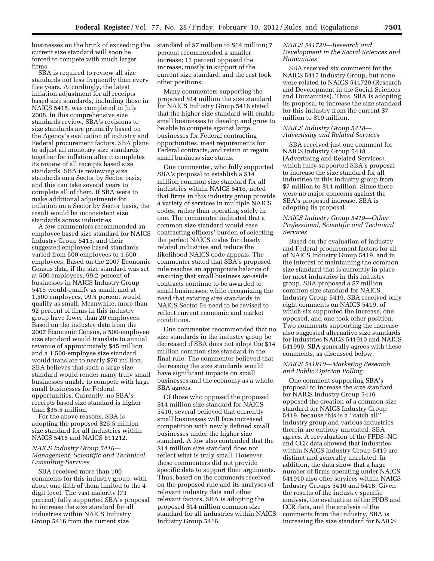businesses on the brink of exceeding the current size standard will soon be forced to compete with much larger firms.

SBA is required to review all size standards not less frequently than every five years. Accordingly, the latest inflation adjustment for all receipts based size standards, including those in NAICS 5415, was completed in July 2008. In this comprehensive size standards review, SBA's revisions to size standards are primarily based on the Agency's evaluation of industry and Federal procurement factors. SBA plans to adjust all monetary size standards together for inflation after it completes its review of all receipts based size standards. SBA is reviewing size standards on a Sector by Sector basis, and this can take several years to complete all of them. If SBA were to make additional adjustments for inflation on a Sector by Sector basis, the result would be inconsistent size standards across industries.

A few commenters recommended an employee based size standard for NAICS Industry Group 5415, and their suggested employee based standards varied from 500 employees to 1,500 employees. Based on the 2007 Economic Census data, if the size standard was set at 500 employees, 99.2 percent of businesses in NAICS Industry Group 5415 would qualify as small, and at 1,500 employees, 99.5 percent would qualify as small. Meanwhile, more than 92 percent of firms in this industry group have fewer than 20 employees. Based on the industry data from the 2007 Economic Census, a 500-employee size standard would translate to annual revenue of approximately \$45 million and a 1,500-employee size standard would translate to nearly \$70 million. SBA believes that such a large size standard would render many truly small businesses unable to compete with large small businesses for Federal opportunities. Currently, no SBA's receipts based size standard is higher than \$35.5 million.

For the above reasons, SBA is adopting the proposed \$25.5 million size standard for all industries within NAICS 5415 and NAICS 811212.

## *NAICS Industry Group 5416— Management, Scientific and Technical Consulting Services*

SBA received more than 100 comments for this industry group, with about one-fifth of them limited to the 4 digit level. The vast majority (73 percent) fully supported SBA's proposal to increase the size standard for all industries within NAICS Industry Group 5416 from the current size

standard of \$7 million to \$14 million; 7 percent recommended a smaller increase; 13 percent opposed the increase, mostly in support of the current size standard; and the rest took other positions.

Many commenters supporting the proposed \$14 million the size standard for NAICS Industry Group 5416 stated that the higher size standard will enable small businesses to develop and grow to be able to compete against large businesses for Federal contracting opportunities, meet requirements for Federal contracts, and retain or regain small business size status.

One commenter, who fully supported SBA's proposal to establish a \$14 million common size standard for all industries within NAICS 5416, noted that firms in this industry group provide a variety of services in multiple NAICS codes, rather than operating solely in one. The commenter indicated that a common size standard would ease contracting officers' burden of selecting the perfect NAICS codes for closely related industries and reduce the likelihood NAICS code appeals. The commenter stated that SBA's proposed rule reaches an appropriate balance of ensuring that small business set-aside contracts continue to be awarded to small businesses, while recognizing the need that existing size standards in NAICS Sector 54 need to be revised to reflect current economic and market conditions.

One commenter recommended that no size standards in the industry group be decreased if SBA does not adopt the \$14 million common size standard in the final rule. The commenter believed that decreasing the size standards would have significant impacts on small businesses and the economy as a whole. SBA agrees.

Of those who opposed the proposed \$14 million size standard for NAICS 5416, several believed that currently small businesses will face increased competition with newly defined small businesses under the higher size standard. A few also contended that the \$14 million size standard does not reflect what is truly small. However, these commenters did not provide specific data to support their arguments. Thus, based on the comments received on the proposed rule and its analyses of relevant industry data and other relevant factors, SBA is adopting the proposed \$14 million common size standard for all industries within NAICS Industry Group 5416.

#### *NAICS 541720—Research and Development in the Social Sciences and Humanities*

SBA received six comments for the NAICS 5417 Industry Group, but none were related to NAICS 541720 (Research and Development in the Social Sciences and Humanities). Thus, SBA is adopting its proposal to increase the size standard for this industry from the current \$7 million to \$19 million.

### *NAICS Industry Group 5418— Advertising and Related Services*

SBA received just one comment for NAICS Industry Group 5418 (Advertising and Related Services), which fully supported SBA's proposal to increase the size standard for all industries in this industry group from \$7 million to \$14 million. Since there were no major concerns against the SBA's proposed increase, SBA is adopting its proposal.

# *NAICS Industry Group 5419—Other Professional, Scientific and Technical Services*

Based on the evaluation of industry and Federal procurement factors for all of NAICS Industry Group 5419, and in the interest of maintaining the common size standard that is currently in place for most industries in this industry group, SBA proposed a \$7 million common size standard for NAICS Industry Group 5419. SBA received only eight comments on NAICS 5419, of which six supported the increase, one opposed, and one took other position. Two comments supporting the increase also suggested alternative size standards for industries NAICS 541910 and NAICS 541990. SBA generally agrees with these comments, as discussed below.

# *NAICS 541910—Marketing Research and Public Opinion Polling*

One comment supporting SBA's proposal to increase the size standard for NAICS Industry Group 5416 opposed the creation of a common size standard for NAICS Industry Group 5419, because this is a ''catch all'' industry group and various industries therein are entirely unrelated. SBA agrees. A reevaluation of the FPDS–NG and CCR data showed that industries within NAICS Industry Group 5419 are distinct and generally unrelated. In addition, the data show that a large number of firms operating under NAICS 541910 also offer services within NAICS Industry Groups 5416 and 5418. Given the results of the industry specific analysis, the evaluation of the FPDS and CCR data, and the analysis of the comments from the industry, SBA is increasing the size standard for NAICS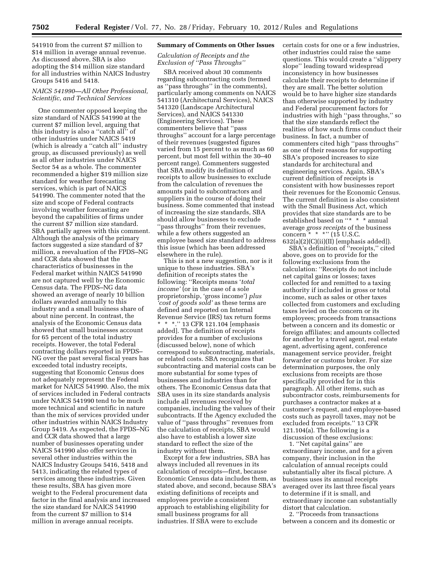541910 from the current \$7 million to \$14 million in average annual revenue. As discussed above, SBA is also adopting the \$14 million size standard for all industries within NAICS Industry Groups 5416 and 5418.

# *NAICS 541990—All Other Professional, Scientific, and Technical Services*

One commenter opposed keeping the size standard of NAICS 541990 at the current \$7 million level, arguing that this industry is also a ''catch all'' of other industries under NAICS 5419 (which is already a ''catch all'' industry group, as discussed previously) as well as all other industries under NAICS Sector 54 as a whole. The commenter recommended a higher \$19 million size standard for weather forecasting services, which is part of NAICS 541990. The commenter noted that the size and scope of Federal contracts involving weather forecasting are beyond the capabilities of firms under the current \$7 million size standard. SBA partially agrees with this comment. Although the analysis of the primary factors suggested a size standard of \$7 million, a reevaluation of the FPDS–NG and CCR data showed that the characteristics of businesses in the Federal market within NAICS 541990 are not captured well by the Economic Census data. The FPDS–NG data showed an average of nearly 10 billion dollars awarded annually to this industry and a small business share of about nine percent. In contrast, the analysis of the Economic Census data showed that small businesses account for 65 percent of the total industry receipts. However, the total Federal contracting dollars reported in FPDS– NG over the past several fiscal years has exceeded total industry receipts, suggesting that Economic Census does not adequately represent the Federal market for NAICS 541990. Also, the mix of services included in Federal contracts under NAICS 541990 tend to be much more technical and scientific in nature than the mix of services provided under other industries within NAICS Industry Group 5419. As expected, the FPDS–NG and CCR data showed that a large number of businesses operating under NAICS 541990 also offer services in several other industries within the NAICS Industry Groups 5416, 5418 and 5413, indicating the related types of services among these industries. Given these results, SBA has given more weight to the Federal procurement data factor in the final analysis and increased the size standard for NAICS 541990 from the current \$7 million to \$14 million in average annual receipts.

#### **Summary of Comments on Other Issues**

# *Calculation of Receipts and the Exclusion of ''Pass Throughs''*

SBA received about 30 comments regarding subcontracting costs (termed as ''pass throughs'' in the comments), particularly among comments on NAICS 541310 (Architectural Services), NAICS 541320 (Landscape Architectural Services), and NAICS 541330 (Engineering Services). These commenters believe that ''pass throughs'' account for a large percentage of their revenues (suggested figures varied from 15 percent to as much as 60 percent, but most fell within the 30–40 percent range). Commenters suggested that SBA modify its definition of receipts to allow businesses to exclude from the calculation of revenues the amounts paid to subcontractors and suppliers in the course of doing their business. Some commented that instead of increasing the size standards, SBA should allow businesses to exclude ''pass throughs'' from their revenues, while a few others suggested an employee based size standard to address this issue (which has been addressed elsewhere in the rule).

This is not a new suggestion, nor is it unique to these industries. SBA's definition of receipts states the following: ''Receipts means '*total income'* (or in the case of a sole proprietorship, 'gross income') *plus 'cost of goods sold'* as these terms are defined and reported on Internal Revenue Service (IRS) tax return forms \* \* \*.'' 13 CFR 121.104 [emphasis added]. The definition of receipts provides for a number of exclusions (discussed below), none of which correspond to subcontracting, materials, or related costs. SBA recognizes that subcontracting and material costs can be more substantial for some types of businesses and industries than for others. The Economic Census data that SBA uses in its size standards analysis include all revenues received by companies, including the values of their subcontracts. If the Agency excluded the value of ''pass throughs'' revenues from the calculation of receipts, SBA would also have to establish a lower size standard to reflect the size of the industry without them.

Except for a few industries, SBA has always included all revenues in its calculation of receipts—first, because Economic Census data includes them, as stated above, and second, because SBA's existing definitions of receipts and employees provide a consistent approach to establishing eligibility for small business programs for all industries. If SBA were to exclude

certain costs for one or a few industries, other industries could raise the same questions. This would create a ''slippery slope'' leading toward widespread inconsistency in how businesses calculate their receipts to determine if they are small. The better solution would be to have higher size standards than otherwise supported by industry and Federal procurement factors for industries with high ''pass throughs,'' so that the size standards reflect the realities of how such firms conduct their business. In fact, a number of commenters cited high ''pass throughs'' as one of their reasons for supporting SBA's proposed increases to size standards for architectural and engineering services. Again, SBA's current definition of receipts is consistent with how businesses report their revenues for the Economic Census. The current definition is also consistent with the Small Business Act, which provides that size standards are to be established based on "\* \* \* annual average *gross receipts* of the business concern  $*$   $*$   $*$   $*$   $(15$  U.S.C.  $632(a)(2)(C)(ii)(II)$  [emphasis added]).

SBA's definition of ''receipts,'' cited above, goes on to provide for the following exclusions from the calculation: ''Receipts do not include net capital gains or losses; taxes collected for and remitted to a taxing authority if included in gross or total income, such as sales or other taxes collected from customers and excluding taxes levied on the concern or its employees; proceeds from transactions between a concern and its domestic or foreign affiliates; and amounts collected for another by a travel agent, real estate agent, advertising agent, conference management service provider, freight forwarder or customs broker. For size determination purposes, the only exclusions from receipts are those specifically provided for in this paragraph. All other items, such as subcontractor costs, reimbursements for purchases a contractor makes at a customer's request, and employee-based costs such as payroll taxes, may not be excluded from receipts.'' 13 CFR 121.104(a). The following is a discussion of these exclusions:

1. ''Net capital gains'' are extraordinary income, and for a given company, their inclusion in the calculation of annual receipts could substantially alter its fiscal picture. A business uses its annual receipts averaged over its last three fiscal years to determine if it is small, and extraordinary income can substantially distort that calculation.

2. ''Proceeds from transactions between a concern and its domestic or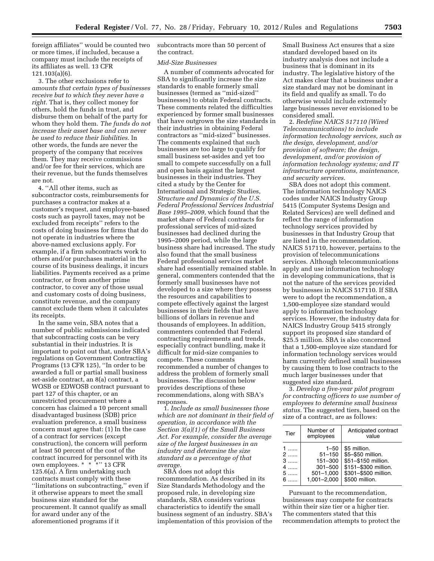foreign affiliates'' would be counted two or more times, if included, because a company must include the receipts of its affiliates as well. 13 CFR 121.103(a)(6).

3. The other exclusions refer to *amounts that certain types of businesses receive but to which they never have a right.* That is, they collect money for others, hold the funds in trust, and disburse them on behalf of the party for whom they hold them. *The funds do not increase their asset base and can never be used to reduce their liabilities.* In other words, the funds are never the property of the company that receives them. They may receive commissions and/or fee for their services, which are their revenue, but the funds themselves are not.

4. ''All other items, such as subcontractor costs, reimbursements for purchases a contractor makes at a customer's request, and employee-based costs such as payroll taxes, may not be excluded from receipts'' refers to the costs of doing business for firms that do not operate in industries where the above-named exclusions apply. For example, if a firm subcontracts work to others and/or purchases material in the course of its business dealings, it incurs liabilities. Payments received as a prime contractor, or from another prime contractor, to cover any of those usual and customary costs of doing business, constitute revenue, and the company cannot exclude them when it calculates its receipts.

In the same vein, SBA notes that a number of public submissions indicated that subcontracting costs can be very substantial in their industries. It is important to point out that, under SBA's regulations on Government Contracting Programs (13 CFR 125), ''In order to be awarded a full or partial small business set-aside contract, an 8(a) contract, a WOSB or EDWOSB contract pursuant to part 127 of this chapter, or an unrestricted procurement where a concern has claimed a 10 percent small disadvantaged business (SDB) price evaluation preference, a small business concern must agree that: (1) In the case of a contract for services (except construction), the concern will perform at least 50 percent of the cost of the contract incurred for personnel with its own employees. \* \* \*'' 13 CFR 125.6(a). A firm undertaking such contracts must comply with these "limitations on subcontracting," even if it otherwise appears to meet the small business size standard for the procurement. It cannot qualify as small for award under any of the aforementioned programs if it

subcontracts more than 50 percent of the contract.

#### *Mid-Size Businesses*

A number of comments advocated for SBA to significantly increase the size standards to enable formerly small businesses (termed as ''mid-sized'' businesses) to obtain Federal contracts. These comments related the difficulties experienced by former small businesses that have outgrown the size standards in their industries in obtaining Federal contractors as ''mid-sized'' businesses. The comments explained that such businesses are too large to qualify for small business set-asides and yet too small to compete successfully on a full and open basis against the largest businesses in their industries. They cited a study by the Center for International and Strategic Studies, *Structure and Dynamics of the U.S. Federal Professional Services Industrial Base 1995–2009,* which found that the market share of Federal contracts for professional services of mid-sized businesses had declined during the 1995–2009 period, while the large business share had increased. The study also found that the small business Federal professional services market share had essentially remained stable. In general, commenters contended that the formerly small businesses have not developed to a size where they possess the resources and capabilities to compete effectively against the largest businesses in their fields that have billions of dollars in revenue and thousands of employees. In addition, commenters contended that Federal contracting requirements and trends, especially contract bundling, make it difficult for mid-size companies to compete. These comments recommended a number of changes to address the problem of formerly small businesses. The discussion below provides descriptions of these recommendations, along with SBA's responses.

1. *Include as small businesses those which are not dominant in their field of operation, in accordance with the Section 3(a)(1) of the Small Business Act. For example, consider the average size of the largest businesses in an industry and determine the size standard as a percentage of that average.* 

SBA does not adopt this recommendation. As described in its Size Standards Methodology and the proposed rule, in developing size standards, SBA considers various characteristics to identify the small business segment of an industry. SBA's implementation of this provision of the

Small Business Act ensures that a size standard developed based on its industry analysis does not include a business that is dominant in its industry. The legislative history of the Act makes clear that a business under a size standard may not be dominant in its field and qualify as small. To do otherwise would include extremely large businesses never envisioned to be considered small.

2. *Redefine NAICS 517110 (Wired Telecommunications) to include information technology services, such as the design, development, and/or provision of software; the design, development, and/or provision of information technology systems; and IT infrastructure operations, maintenance, and security services.* 

SBA does not adopt this comment. The information technology NAICS codes under NAICS Industry Group 5415 (Computer Systems Design and Related Services) are well defined and reflect the range of information technology services provided by businesses in that Industry Group that are listed in the recommendation. NAICS 517110, however, pertains to the provision of telecommunications services. Although telecommunications apply and use information technology in developing communications, that is not the nature of the services provided by businesses in NAICS 517110. If SBA were to adopt the recommendation, a 1,500-employee size standard would apply to information technology services. However, the industry data for NAICS Industry Group 5415 strongly support its proposed size standard of \$25.5 million. SBA is also concerned that a 1,500-employee size standard for information technology services would harm currently defined small businesses by causing them to lose contracts to the much larger businesses under that suggested size standard.

3. *Develop a five-year pilot program for contracting officers to use number of employees to determine small business status.* The suggested tiers, based on the size of a contract, are as follows:

| Tier | Number of<br>employees | Anticipated contract<br>value |
|------|------------------------|-------------------------------|
| $1$  | $1 - 50$               | \$5 million.                  |
| 2    | $51 - 150$             | \$5-\$50 million.             |
| $3$  | $151 - 300$            | \$51-\$150 million.           |
| 4    | $301 - 500$            | \$151-\$300 million.          |
| 5    | $501 - 1,000$          | \$301-\$500 million.          |
| 6    | 1,001-2,000            | \$500 million.                |

Pursuant to the recommendation, businesses may compete for contracts within their size tier or a higher tier. The commenters stated that this recommendation attempts to protect the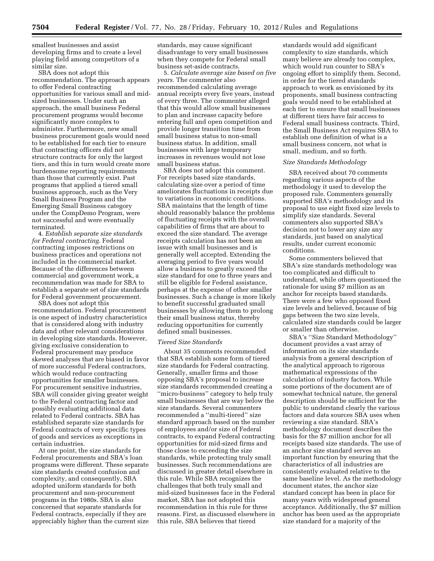smallest businesses and assist developing firms and to create a level playing field among competitors of a similar size.

SBA does not adopt this recommendation. The approach appears to offer Federal contracting opportunities for various small and midsized businesses. Under such an approach, the small business Federal procurement programs would become significantly more complex to administer. Furthermore, new small business procurement goals would need to be established for each tier to ensure that contracting officers did not structure contracts for only the largest tiers, and this in turn would create more burdensome reporting requirements than those that currently exist. Past programs that applied a tiered small business approach, such as the Very Small Business Program and the Emerging Small Business category under the CompDemo Program, were not successful and were eventually terminated.

4. *Establish separate size standards for Federal contracting.* Federal contracting imposes restrictions on business practices and operations not included in the commercial market. Because of the differences between commercial and government work, a recommendation was made for SBA to establish a separate set of size standards for Federal government procurement.

SBA does not adopt this recommendation. Federal procurement is one aspect of industry characteristics that is considered along with industry data and other relevant considerations in developing size standards. However, giving exclusive consideration to Federal procurement may produce skewed analyses that are biased in favor of more successful Federal contractors, which would reduce contracting opportunities for smaller businesses. For procurement sensitive industries, SBA will consider giving greater weight to the Federal contracting factor and possibly evaluating additional data related to Federal contracts. SBA has established separate size standards for Federal contracts of very specific types of goods and services as exceptions in certain industries.

At one point, the size standards for Federal procurements and SBA's loan programs were different. These separate size standards created confusion and complexity, and consequently, SBA adopted uniform standards for both procurement and non-procurement programs in the 1980s. SBA is also concerned that separate standards for Federal contracts, especially if they are appreciably higher than the current size

standards, may cause significant disadvantage to very small businesses when they compete for Federal small business set-aside contracts.

5. *Calculate average size based on five years.* The commenter also recommended calculating average annual receipts every five years, instead of every three. The commenter alleged that this would allow small businesses to plan and increase capacity before entering full and open competition and provide longer transition time from small business status to non-small business status. In addition, small businesses with large temporary increases in revenues would not lose small business status.

SBA does not adopt this comment. For receipts based size standards, calculating size over a period of time ameliorates fluctuations in receipts due to variations in economic conditions. SBA maintains that the length of time should reasonably balance the problems of fluctuating receipts with the overall capabilities of firms that are about to exceed the size standard. The average receipts calculation has not been an issue with small businesses and is generally well accepted. Extending the averaging period to five years would allow a business to greatly exceed the size standard for one to three years and still be eligible for Federal assistance, perhaps at the expense of other smaller businesses. Such a change is more likely to benefit successful graduated small businesses by allowing them to prolong their small business status, thereby reducing opportunities for currently defined small businesses.

#### *Tiered Size Standards*

About 35 comments recommended that SBA establish some form of tiered size standards for Federal contracting. Generally, smaller firms and those opposing SBA's proposal to increase size standards recommended creating a ''micro-business'' category to help truly small businesses that are way below the size standards. Several commenters recommended a ''multi-tiered'' size standard approach based on the number of employees and/or size of Federal contracts, to expand Federal contracting opportunities for mid-sized firms and those close to exceeding the size standards, while protecting truly small businesses. Such recommendations are discussed in greater detail elsewhere in this rule. While SBA recognizes the challenges that both truly small and mid-sized businesses face in the Federal market, SBA has not adopted this recommendation in this rule for three reasons. First, as discussed elsewhere in this rule, SBA believes that tiered

standards would add significant complexity to size standards, which many believe are already too complex, which would run counter to SBA's ongoing effort to simplify them. Second, in order for the tiered standards approach to work as envisioned by its proponents, small business contracting goals would need to be established at each tier to ensure that small businesses at different tiers have fair access to Federal small business contracts. Third, the Small Business Act requires SBA to establish one definition of what is a small business concern, not what is small, medium, and so forth.

#### *Size Standards Methodology*

SBA received about 70 comments regarding various aspects of the methodology it used to develop the proposed rule. Commenters generally supported SBA's methodology and its proposal to use eight fixed size levels to simplify size standards. Several commenters also supported SBA's decision not to lower any size any standards, just based on analytical results, under current economic conditions.

Some commenters believed that SBA's size standards methodology was too complicated and difficult to understand, while others questioned the rationale for using \$7 million as an anchor for receipts based standards. There were a few who opposed fixed size levels and believed, because of big gaps between the two size levels, calculated size standards could be larger or smaller than otherwise.

SBA's ''Size Standard Methodology'' document provides a vast array of information on its size standards analysis from a general description of the analytical approach to rigorous mathematical expressions of the calculation of industry factors. While some portions of the document are of somewhat technical nature, the general description should be sufficient for the public to understand clearly the various factors and data sources SBA uses when reviewing a size standard. SBA's methodology document describes the basis for the \$7 million anchor for all receipts based size standards. The use of an anchor size standard serves an important function by ensuring that the characteristics of all industries are consistently evaluated relative to the same baseline level. As the methodology document states, the anchor size standard concept has been in place for many years with widespread general acceptance. Additionally, the \$7 million anchor has been used as the appropriate size standard for a majority of the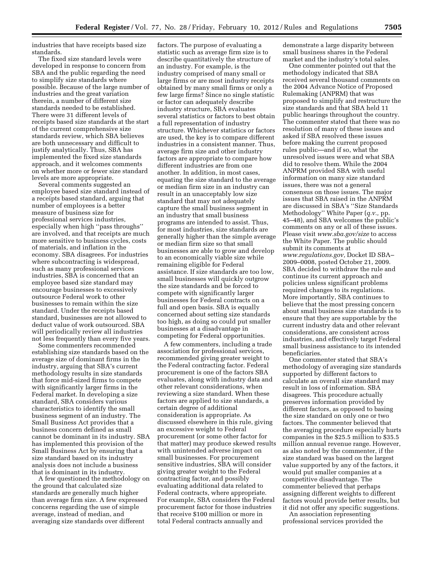industries that have receipts based size standards.

The fixed size standard levels were developed in response to concern from SBA and the public regarding the need to simplify size standards where possible. Because of the large number of industries and the great variation therein, a number of different size standards needed to be established. There were 31 different levels of receipts based size standards at the start of the current comprehensive size standards review, which SBA believes are both unnecessary and difficult to justify analytically. Thus, SBA has implemented the fixed size standards approach, and it welcomes comments on whether more or fewer size standard levels are more appropriate.

Several comments suggested an employee based size standard instead of a receipts based standard, arguing that number of employees is a better measure of business size for professional services industries, especially when high ''pass throughs'' are involved, and that receipts are much more sensitive to business cycles, costs of materials, and inflation in the economy. SBA disagrees. For industries where subcontracting is widespread, such as many professional services industries, SBA is concerned that an employee based size standard may encourage businesses to excessively outsource Federal work to other businesses to remain within the size standard. Under the receipts based standard, businesses are not allowed to deduct value of work outsourced. SBA will periodically review all industries not less frequently than every five years.

Some commenters recommended establishing size standards based on the average size of dominant firms in the industry, arguing that SBA's current methodology results in size standards that force mid-sized firms to compete with significantly larger firms in the Federal market. In developing a size standard, SBA considers various characteristics to identify the small business segment of an industry. The Small Business Act provides that a business concern defined as small cannot be dominant in its industry. SBA has implemented this provision of the Small Business Act by ensuring that a size standard based on its industry analysis does not include a business that is dominant in its industry.

A few questioned the methodology on the ground that calculated size standards are generally much higher than average firm size. A few expressed concerns regarding the use of simple average, instead of median, and averaging size standards over different

factors. The purpose of evaluating a statistic such as average firm size is to describe quantitatively the structure of an industry. For example, is the industry comprised of many small or large firms or are most industry receipts obtained by many small firms or only a few large firms? Since no single statistic or factor can adequately describe industry structure, SBA evaluates several statistics or factors to best obtain a full representation of industry structure. Whichever statistics or factors are used, the key is to compare different industries in a consistent manner. Thus, average firm size and other industry factors are appropriate to compare how different industries are from one another. In addition, in most cases, equating the size standard to the average or median firm size in an industry can result in an unacceptably low size standard that may not adequately capture the small business segment in an industry that small business programs are intended to assist. Thus, for most industries, size standards are generally higher than the simple average or median firm size so that small businesses are able to grow and develop to an economically viable size while remaining eligible for Federal assistance. If size standards are too low, small businesses will quickly outgrow the size standards and be forced to compete with significantly larger businesses for Federal contracts on a full and open basis. SBA is equally concerned about setting size standards too high, as doing so could put smaller businesses at a disadvantage in competing for Federal opportunities.

A few commenters, including a trade association for professional services, recommended giving greater weight to the Federal contracting factor. Federal procurement is one of the factors SBA evaluates, along with industry data and other relevant considerations, when reviewing a size standard. When these factors are applied to size standards, a certain degree of additional consideration is appropriate. As discussed elsewhere in this rule, giving an excessive weight to Federal procurement (or some other factor for that matter) may produce skewed results with unintended adverse impact on small businesses. For procurement sensitive industries, SBA will consider giving greater weight to the Federal contracting factor, and possibly evaluating additional data related to Federal contracts, where appropriate. For example, SBA considers the Federal procurement factor for those industries that receive \$100 million or more in total Federal contracts annually and

demonstrate a large disparity between small business shares in the Federal market and the industry's total sales.

One commenter pointed out that the methodology indicated that SBA received several thousand comments on the 2004 Advance Notice of Proposed Rulemaking (ANPRM) that was proposed to simplify and restructure the size standards and that SBA held 11 public hearings throughout the country. The commenter stated that there was no resolution of many of these issues and asked if SBA resolved these issues before making the current proposed rules public—and if so, what the unresolved issues were and what SBA did to resolve them. While the 2004 ANPRM provided SBA with useful information on many size standard issues, there was not a general consensus on those issues. The major issues that SBA raised in the ANPRM are discussed in SBA's ''Size Standards Methodology'' White Paper (*q.v.,* pp. 45–48), and SBA welcomes the public's comments on any or all of these issues. Please visit *[www.sba.gov/size](http://www.sba.gov/size)* to access the White Paper. The public should submit its comments at *[www.regulations.gov,](http://www.regulations.gov)* Docket ID SBA– 2009–0008, posted October 21, 2009. SBA decided to withdraw the rule and continue its current approach and policies unless significant problems required changes to its regulations. More importantly, SBA continues to believe that the most pressing concern about small business size standards is to ensure that they are supportable by the current industry data and other relevant considerations, are consistent across industries, and effectively target Federal small business assistance to its intended beneficiaries.

One commenter stated that SBA's methodology of averaging size standards supported by different factors to calculate an overall size standard may result in loss of information. SBA disagrees. This procedure actually preserves information provided by different factors, as opposed to basing the size standard on only one or two factors. The commenter believed that the averaging procedure especially hurts companies in the \$25.5 million to \$35.5 million annual revenue range. However, as also noted by the commenter, if the size standard was based on the largest value supported by any of the factors, it would put smaller companies at a competitive disadvantage. The commenter believed that perhaps assigning different weights to different factors would provide better results, but it did not offer any specific suggestions.

An association representing professional services provided the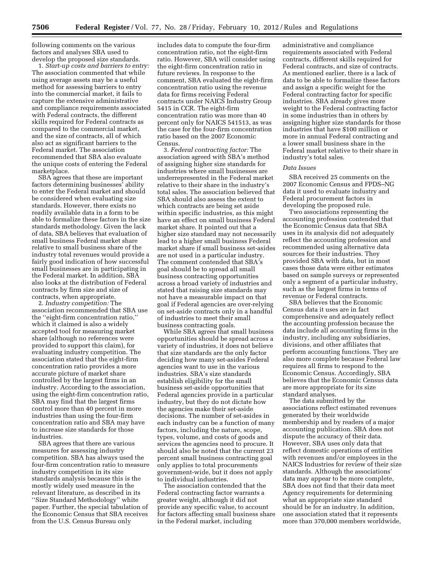following comments on the various factors and analyses SBA used to develop the proposed size standards.

1. *Start-up costs and barriers to entry:*  The association commented that while using average assets may be a useful method for assessing barriers to entry into the commercial market, it fails to capture the extensive administrative and compliance requirements associated with Federal contracts, the different skills required for Federal contracts as compared to the commercial market, and the size of contracts, all of which also act as significant barriers to the Federal market. The association recommended that SBA also evaluate the unique costs of entering the Federal marketplace.

SBA agrees that these are important factors determining businesses' ability to enter the Federal market and should be considered when evaluating size standards. However, there exists no readily available data in a form to be able to formalize these factors in the size standards methodology. Given the lack of data, SBA believes that evaluation of small business Federal market share relative to small business share of the industry total revenues would provide a fairly good indication of how successful small businesses are in participating in the Federal market. In addition, SBA also looks at the distribution of Federal contracts by firm size and size of contracts, when appropriate.

2. *Industry competition:* The association recommended that SBA use the ''eight-firm concentration ratio,'' which it claimed is also a widely accepted tool for measuring market share (although no references were provided to support this claim), for evaluating industry competition. The association stated that the eight-firm concentration ratio provides a more accurate picture of market share controlled by the largest firms in an industry. According to the association, using the eight-firm concentration ratio, SBA may find that the largest firms control more than 40 percent in more industries than using the four-firm concentration ratio and SBA may have to increase size standards for those industries.

SBA agrees that there are various measures for assessing industry competition. SBA has always used the four-firm concentration ratio to measure industry competition in its size standards analysis because this is the mostly widely used measure in the relevant literature, as described in its ''Size Standard Methodology'' white paper. Further, the special tabulation of the Economic Census that SBA receives from the U.S. Census Bureau only

includes data to compute the four-firm concentration ratio, not the eight-firm ratio. However, SBA will consider using the eight-firm concentration ratio in future reviews. In response to the comment, SBA evaluated the eight-firm concentration ratio using the revenue data for firms receiving Federal contracts under NAICS Industry Group 5415 in CCR. The eight-firm concentration ratio was more than 40 percent only for NAICS 541513, as was the case for the four-firm concentration ratio based on the 2007 Economic Census.

3. *Federal contracting factor:* The association agreed with SBA's method of assigning higher size standards for industries where small businesses are underrepresented in the Federal market relative to their share in the industry's total sales. The association believed that SBA should also assess the extent to which contracts are being set aside within specific industries, as this might have an effect on small business Federal market share. It pointed out that a higher size standard may not necessarily lead to a higher small business Federal market share if small business set-asides are not used in a particular industry. The comment contended that SBA's goal should be to spread all small business contracting opportunities across a broad variety of industries and stated that raising size standards may not have a measurable impact on that goal if Federal agencies are over-relying on set-aside contracts only in a handful of industries to meet their small business contracting goals.

While SBA agrees that small business opportunities should be spread across a variety of industries, it does not believe that size standards are the only factor deciding how many set-asides Federal agencies want to use in the various industries. SBA's size standards establish eligibility for the small business set-aside opportunities that Federal agencies provide in a particular industry, but they do not dictate how the agencies make their set-aside decisions. The number of set-asides in each industry can be a function of many factors, including the nature, scope, types, volume, and costs of goods and services the agencies need to procure. It should also be noted that the current 23 percent small business contracting goal only applies to total procurements government-wide, but it does not apply to individual industries.

The association contended that the Federal contracting factor warrants a greater weight, although it did not provide any specific value, to account for factors affecting small business share in the Federal market, including

administrative and compliance requirements associated with Federal contracts, different skills required for Federal contracts, and size of contracts. As mentioned earlier, there is a lack of data to be able to formalize these factors and assign a specific weight for the Federal contracting factor for specific industries. SBA already gives more weight to the Federal contracting factor in some industries than in others by assigning higher size standards for those industries that have \$100 million or more in annual Federal contracting and a lower small business share in the Federal market relative to their share in industry's total sales.

#### *Data Issues*

SBA received 25 comments on the 2007 Economic Census and FPDS–NG data it used to evaluate industry and Federal procurement factors in developing the proposed rule.

Two associations representing the accounting profession contended that the Economic Census data that SBA uses in its analysis did not adequately reflect the accounting profession and recommended using alternative data sources for their industries. They provided SBA with data, but in most cases those data were either estimates based on sample surveys or represented only a segment of a particular industry, such as the largest firms in terms of revenue or Federal contracts.

SBA believes that the Economic Census data it uses are in fact comprehensive and adequately reflect the accounting profession because the data include all accounting firms in the industry, including any subsidiaries, divisions, and other affiliates that perform accounting functions. They are also more complete because Federal law requires all firms to respond to the Economic Census. Accordingly, SBA believes that the Economic Census data are more appropriate for its size standard analyses.

The data submitted by the associations reflect estimated revenues generated by their worldwide membership and by readers of a major accounting publication. SBA does not dispute the accuracy of their data. However, SBA uses only data that reflect domestic operations of entities with revenues and/or employees in the NAICS Industries for review of their size standards. Although the associations' data may appear to be more complete, SBA does not find that their data meet Agency requirements for determining what an appropriate size standard should be for an industry. In addition, one association stated that it represents more than 370,000 members worldwide,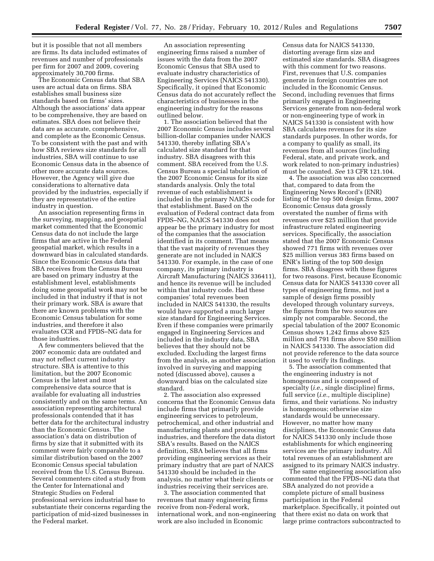but it is possible that not all members are firms. Its data included estimates of revenues and number of professionals per firm for 2007 and 2009, covering approximately 30,700 firms.

The Economic Census data that SBA uses are actual data on firms. SBA establishes small business size standards based on firms' sizes. Although the associations' data appear to be comprehensive, they are based on estimates. SBA does not believe their data are as accurate, comprehensive, and complete as the Economic Census. To be consistent with the past and with how SBA reviews size standards for all industries, SBA will continue to use Economic Census data in the absence of other more accurate data sources. However, the Agency will give due considerations to alternative data provided by the industries, especially if they are representative of the entire industry in question.

An association representing firms in the surveying, mapping, and geospatial market commented that the Economic Census data do not include the large firms that are active in the Federal geospatial market, which results in a downward bias in calculated standards. Since the Economic Census data that SBA receives from the Census Bureau are based on primary industry at the establishment level, establishments doing some geospatial work may not be included in that industry if that is not their primary work. SBA is aware that there are known problems with the Economic Census tabulation for some industries, and therefore it also evaluates CCR and FPDS–NG data for those industries.

A few commenters believed that the 2007 economic data are outdated and may not reflect current industry structure. SBA is attentive to this limitation, but the 2007 Economic Census is the latest and most comprehensive data source that is available for evaluating all industries consistently and on the same terms. An association representing architectural professionals contended that it has better data for the architectural industry than the Economic Census. The association's data on distribution of firms by size that it submitted with its comment were fairly comparable to a similar distribution based on the 2007 Economic Census special tabulation received from the U.S. Census Bureau. Several commenters cited a study from the Center for International and Strategic Studies on Federal professional services industrial base to substantiate their concerns regarding the participation of mid-sized businesses in the Federal market.

An association representing engineering firms raised a number of issues with the data from the 2007 Economic Census that SBA used to evaluate industry characteristics of Engineering Services (NAICS 541330). Specifically, it opined that Economic Census data do not accurately reflect the characteristics of businesses in the engineering industry for the reasons outlined below.

1. The association believed that the 2007 Economic Census includes several billion-dollar companies under NAICS 541330, thereby inflating SBA's calculated size standard for that industry. SBA disagrees with this comment. SBA received from the U.S. Census Bureau a special tabulation of the 2007 Economic Census for its size standards analysis. Only the total revenue of each establishment is included in the primary NAICS code for that establishment. Based on the evaluation of Federal contract data from FPDS–NG, NAICS 541330 does not appear be the primary industry for most of the companies that the association identified in its comment. That means that the vast majority of revenues they generate are not included in NAICS 541330. For example, in the case of one company, its primary industry is Aircraft Manufacturing (NAICS 336411), and hence its revenue will be included within that industry code. Had these companies' total revenues been included in NAICS 541330, the results would have supported a much larger size standard for Engineering Services. Even if these companies were primarily engaged in Engineering Services and included in the industry data, SBA believes that they should not be excluded. Excluding the largest firms from the analysis, as another association involved in surveying and mapping noted (discussed above), causes a downward bias on the calculated size standard.

2. The association also expressed concerns that the Economic Census data include firms that primarily provide engineering services to petroleum, petrochemical, and other industrial and manufacturing plants and processing industries, and therefore the data distort SBA's results. Based on the NAICS definition, SBA believes that all firms providing engineering services as their primary industry that are part of NAICS 541330 should be included in the analysis, no matter what their clients or industries receiving their services are.

3. The association commented that revenues that many engineering firms receive from non-Federal work, international work, and non-engineering work are also included in Economic

Census data for NAICS 541330, distorting average firm size and estimated size standards. SBA disagrees with this comment for two reasons. First, revenues that U.S. companies generate in foreign countries are not included in the Economic Census. Second, including revenues that firms primarily engaged in Engineering Services generate from non-federal work or non-engineering type of work in NAICS 541330 is consistent with how SBA calculates revenues for its size standards purposes. In other words, for a company to qualify as small, its revenues from all sources (including Federal, state, and private work, and work related to non-primary industries) must be counted. *See* 13 CFR 121.104.

4. The association was also concerned that, compared to data from the Engineering News Record's (ENR) listing of the top 500 design firms, 2007 Economic Census data grossly overstated the number of firms with revenues over \$25 million that provide infrastructure related engineering services. Specifically, the association stated that the 2007 Economic Census showed 771 firms with revenues over \$25 million versus 383 firms based on ENR's listing of the top 500 design firms. SBA disagrees with these figures for two reasons. First, because Economic Census data for NAICS 541330 cover all types of engineering firms, not just a sample of design firms possibly developed through voluntary surveys, the figures from the two sources are simply not comparable. Second, the special tabulation of the 2007 Economic Census shows 1,242 firms above \$25 million and 791 firms above \$50 million in NAICS 541330. The association did not provide reference to the data source it used to verify its findings.

5. The association commented that the engineering industry is not homogenous and is composed of specialty (*i.e.,* single discipline) firms, full service (*i.e.,* multiple discipline) firms, and their variations. No industry is homogenous; otherwise size standards would be unnecessary. However, no matter how many disciplines, the Economic Census data for NAICS 541330 only include those establishments for which engineering services are the primary industry. All total revenues of an establishment are assigned to its primary NAICS industry.

The same engineering association also commented that the FPDS–NG data that SBA analyzed do not provide a complete picture of small business participation in the Federal marketplace. Specifically, it pointed out that there exist no data on work that large prime contractors subcontracted to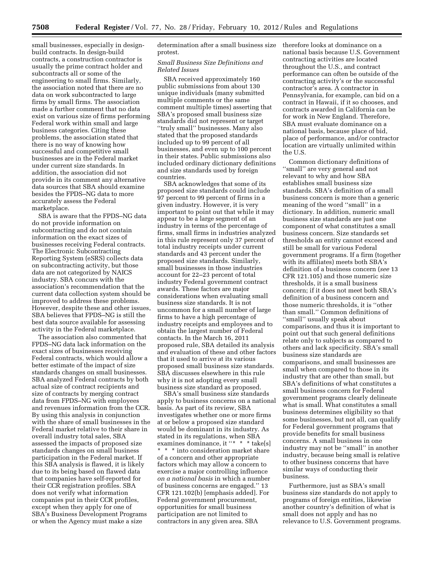small businesses, especially in designbuild contracts. In design-build contracts, a construction contractor is usually the prime contract holder and subcontracts all or some of the engineering to small firms. Similarly, the association noted that there are no data on work subcontracted to large firms by small firms. The association made a further comment that no data exist on various size of firms performing Federal work within small and large business categories. Citing these problems, the association stated that there is no way of knowing how successful and competitive small businesses are in the Federal market under current size standards. In addition, the association did not provide in its comment any alternative data sources that SBA should examine besides the FPDS–NG data to more accurately assess the Federal marketplace.

SBA is aware that the FPDS–NG data do not provide information on subcontracting and do not contain information on the exact sizes of businesses receiving Federal contracts. The Electronic Subcontracting Reporting System (eSRS) collects data on subcontracting activity, but those data are not categorized by NAICS industry. SBA concurs with the association's recommendation that the current data collection system should be improved to address these problems. However, despite these and other issues, SBA believes that FPDS–NG is still the best data source available for assessing activity in the Federal marketplace.

The association also commented that FPDS–NG data lack information on the exact sizes of businesses receiving Federal contracts, which would allow a better estimate of the impact of size standards changes on small businesses. SBA analyzed Federal contracts by both actual size of contract recipients and size of contracts by merging contract data from FPDS–NG with employees and revenues information from the CCR. By using this analysis in conjunction with the share of small businesses in the Federal market relative to their share in overall industry total sales, SBA assessed the impacts of proposed size standards changes on small business participation in the Federal market. If this SBA analysis is flawed, it is likely due to its being based on flawed data that companies have self-reported for their CCR registration profiles. SBA does not verify what information companies put in their CCR profiles, except when they apply for one of SBA's Business Development Programs or when the Agency must make a size

determination after a small business size protest.

#### *Small Business Size Definitions and Related Issues*

SBA received approximately 160 public submissions from about 130 unique individuals (many submitted multiple comments or the same comment multiple times) asserting that SBA's proposed small business size standards did not represent or target ''truly small'' businesses. Many also stated that the proposed standards included up to 99 percent of all businesses, and even up to 100 percent in their states. Public submissions also included ordinary dictionary definitions and size standards used by foreign countries.

SBA acknowledges that some of its proposed size standards could include 97 percent to 99 percent of firms in a given industry. However, it is very important to point out that while it may appear to be a large segment of an industry in terms of the percentage of firms, small firms in industries analyzed in this rule represent only 37 percent of total industry receipts under current standards and 43 percent under the proposed size standards. Similarly, small businesses in those industries account for 22–23 percent of total industry Federal government contract awards. These factors are major considerations when evaluating small business size standards. It is not uncommon for a small number of large firms to have a high percentage of industry receipts and employees and to obtain the largest number of Federal contacts. In the March 16, 2011 proposed rule, SBA detailed its analysis and evaluation of these and other factors that it used to arrive at its various proposed small business size standards. SBA discusses elsewhere in this rule why it is not adopting every small business size standard as proposed.

SBA's small business size standards apply to business concerns on a national basis. As part of its review, SBA investigates whether one or more firms at or below a proposed size standard would be dominant in its industry. As stated in its regulations, when SBA examines dominance, it "\* \* \* take[s] \* \* \* into consideration market share of a concern and other appropriate factors which may allow a concern to exercise a major controlling influence *on a national basis* in which a number of business concerns are engaged.'' 13 CFR 121.102(b) [emphasis added]. For Federal government procurement, opportunities for small business participation are not limited to contractors in any given area. SBA

therefore looks at dominance on a national basis because U.S. Government contracting activities are located throughout the U.S., and contract performance can often be outside of the contracting activity's or the successful contractor's area. A contractor in Pennsylvania, for example, can bid on a contract in Hawaii, if it so chooses, and contracts awarded in California can be for work in New England. Therefore, SBA must evaluate dominance on a national basis, because place of bid, place of performance, and/or contractor location are virtually unlimited within the U.S.

Common dictionary definitions of ''small'' are very general and not relevant to why and how SBA establishes small business size standards. SBA's definition of a small business concern is more than a generic meaning of the word ''small'' in a dictionary. In addition, numeric small business size standards are just one component of what constitutes a small business concern. Size standards set thresholds an entity cannot exceed and still be small for various Federal government programs. If a firm (together with its affiliates) meets both SBA's definition of a business concern (*see* 13 CFR 121.105) and those numeric size thresholds, it is a small business concern; if it does not meet both SBA's definition of a business concern and those numeric thresholds, it is ''other than small.'' Common definitions of ''small'' usually speak about comparisons, and thus it is important to point out that such general definitions relate only to subjects as compared to others and lack specificity. SBA's small business size standards are comparisons, and small businesses are small when compared to those in its industry that are other than small, but SBA's definitions of what constitutes a small business concern for Federal government programs clearly delineate what is small. What constitutes a small business determines eligibility so that some businesses, but not all, can qualify for Federal government programs that provide benefits for small business concerns. A small business in one industry may not be ''small'' in another industry, because being small is relative to other business concerns that have similar ways of conducting their business.

Furthermore, just as SBA's small business size standards do not apply to programs of foreign entities, likewise another country's definition of what is small does not apply and has no relevance to U.S. Government programs.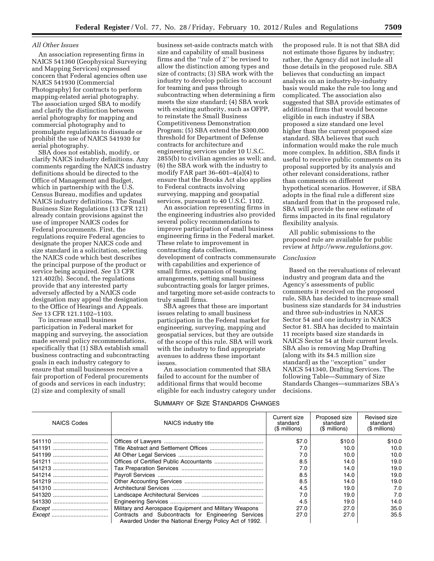#### *All Other Issues*

An association representing firms in NAICS 541360 (Geophysical Surveying and Mapping Services) expressed concern that Federal agencies often use NAICS 541930 (Commercial Photography) for contracts to perform mapping-related aerial photography. The association urged SBA to modify and clarify the distinction between aerial photography for mapping and commercial photography and to promulgate regulations to dissuade or prohibit the use of NAICS 541930 for aerial photography.

SBA does not establish, modify, or clarify NAICS industry definitions. Any comments regarding the NAICS industry definitions should be directed to the Office of Management and Budget, which in partnership with the U.S. Census Bureau, modifies and updates NAICS industry definitions. The Small Business Size Regulations (13 CFR 121) already contain provisions against the use of improper NAICS codes for Federal procurements. First, the regulations require Federal agencies to designate the proper NAICS code and size standard in a solicitation, selecting the NAICS code which best describes the principal purpose of the product or service being acquired. *See* 13 CFR 121.402(b). Second, the regulations provide that any interested party adversely affected by a NAICS code designation may appeal the designation to the Office of Hearings and Appeals. *See* 13 CFR 121.1102–1103.

To increase small business participation in Federal market for mapping and surveying, the association made several policy recommendations, specifically that (1) SBA establish small business contracting and subcontracting goals in each industry category to ensure that small businesses receive a fair proportion of Federal procurements of goods and services in each industry; (2) size and complexity of small

business set-aside contracts match with size and capability of small business firms and the ''rule of 2'' be revised to allow the distinction among types and size of contracts; (3) SBA work with the industry to develop policies to account for teaming and pass through subcontracting when determining a firm meets the size standard; (4) SBA work with existing authority, such as OFPP, to reinstate the Small Business Competitiveness Demonstration Program; (5) SBA extend the \$300,000 threshold for Department of Defense contracts for architecture and engineering services under 10 U.S.C. 2855(b) to civilian agencies as well; and, (6) the SBA work with the industry to modify FAR part 36–601–4(a)(4) to ensure that the Brooks Act also applies to Federal contracts involving surveying, mapping and geospatial services, pursuant to 40 U.S.C. 1102.

An association representing firms in the engineering industries also provided several policy recommendations to improve participation of small business engineering firms in the Federal market. These relate to improvement in contracting data collection, development of contracts commensurate with capabilities and experience of small firms, expansion of teaming arrangements, setting small business subcontracting goals for larger primes, and targeting more set-aside contracts to truly small firms.

SBA agrees that these are important issues relating to small business participation in the Federal market for engineering, surveying, mapping and geospatial services, but they are outside of the scope of this rule. SBA will work with the industry to find appropriate avenues to address these important issues.

An association commented that SBA failed to account for the number of additional firms that would become eligible for each industry category under

the proposed rule. It is not that SBA did not estimate those figures by industry; rather, the Agency did not include all those details in the proposed rule. SBA believes that conducting an impact analysis on an industry-by-industry basis would make the rule too long and complicated. The association also suggested that SBA provide estimates of additional firms that would become eligible in each industry if SBA proposed a size standard one level higher than the current proposed size standard. SBA believes that such information would make the rule much more complex. In addition, SBA finds it useful to receive public comments on its proposal supported by its analysis and other relevant considerations, rather than comments on different hypothetical scenarios. However, if SBA adopts in the final rule a different size standard from that in the proposed rule, SBA will provide the new estimate of firms impacted in its final regulatory flexibility analysis.

All public submissions to the proposed rule are available for public review at *<http://www.regulations.gov>*.

#### *Conclusion*

Based on the reevaluations of relevant industry and program data and the Agency's assessments of public comments it received on the proposed rule, SBA has decided to increase small business size standards for 34 industries and three sub-industries in NAICS Sector 54 and one industry in NAICS Sector 81. SBA has decided to maintain 11 receipts based size standards in NAICS Sector 54 at their current levels. SBA also is removing Map Drafting (along with its \$4.5 million size standard) as the ''exception'' under NAICS 541340, Drafting Services. The following Table—Summary of Size Standards Changes—summarizes SBA's decisions.

## SUMMARY OF SIZE STANDARDS CHANGES

| <b>NAICS Codes</b> | NAICS industry title                                                                                         | Current size<br>standard<br>(\$ millions) | Proposed size<br>standard<br>(\$ millions) | Revised size<br>standard<br>(\$ millions) |
|--------------------|--------------------------------------------------------------------------------------------------------------|-------------------------------------------|--------------------------------------------|-------------------------------------------|
|                    |                                                                                                              | \$7.0                                     | \$10.0                                     | \$10.0                                    |
|                    |                                                                                                              | 7.0                                       | 10.0                                       | 10.0                                      |
|                    |                                                                                                              | 7.0                                       | 10.0                                       | 10.0                                      |
|                    |                                                                                                              | 8.5                                       | 14.0                                       | 19.0                                      |
|                    |                                                                                                              | 7.0                                       | 14.0                                       | 19.0                                      |
|                    |                                                                                                              | 8.5                                       | 14.0                                       | 19.0                                      |
|                    |                                                                                                              | 8.5                                       | 14.0                                       | 19.0                                      |
|                    |                                                                                                              | 4.5                                       | 19.0                                       | 7.0                                       |
|                    |                                                                                                              | 7.0                                       | 19.0                                       | 7.0                                       |
|                    |                                                                                                              | 4.5                                       | 19.0                                       | 14.0                                      |
|                    | Military and Aerospace Equipment and Military Weapons                                                        | 27.0                                      | 27.0                                       | 35.0                                      |
|                    | Contracts and Subcontracts for Engineering Services<br>Awarded Under the National Energy Policy Act of 1992. | 27.0                                      | 27.0                                       | 35.5                                      |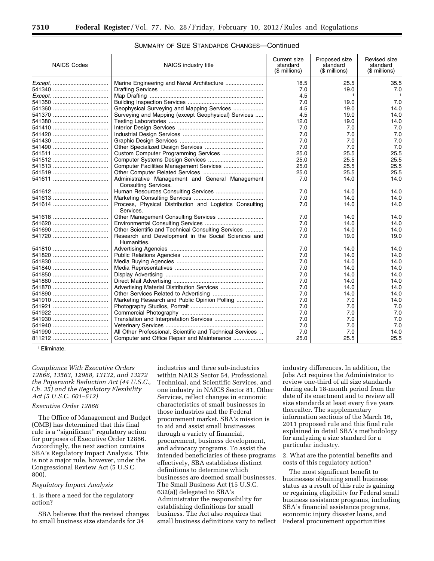| <b>NAICS Codes</b> | NAICS industry title                                                            |      | Proposed size<br>standard<br>(\$ millions) | Revised size<br>standard<br>$$$ millions) |
|--------------------|---------------------------------------------------------------------------------|------|--------------------------------------------|-------------------------------------------|
|                    |                                                                                 | 18.5 | 25.5                                       | 35.5                                      |
|                    |                                                                                 | 7.0  | 19.0                                       | 7.0                                       |
|                    |                                                                                 | 4.5  | 1                                          | $\mathbf{1}$                              |
|                    |                                                                                 | 7.0  | 19.0                                       | 7.0                                       |
|                    | Geophysical Surveying and Mapping Services                                      | 4.5  | 19.0                                       | 14.0                                      |
|                    | Surveying and Mapping (except Geophysical) Services                             | 4.5  | 19.0                                       | 14.0                                      |
|                    |                                                                                 | 12.0 | 19.0                                       | 14.0                                      |
|                    |                                                                                 | 7.0  | 7.0                                        | 7.0                                       |
|                    |                                                                                 | 7.0  | 7.0                                        | 7.0                                       |
|                    |                                                                                 | 7.0  | 7.0                                        | 7.0                                       |
|                    |                                                                                 | 7.0  | 7.0                                        | 7.0                                       |
|                    |                                                                                 | 25.0 | 25.5                                       | 25.5                                      |
|                    |                                                                                 | 25.0 | 25.5                                       | 25.5                                      |
|                    |                                                                                 | 25.0 | 25.5                                       | 25.5                                      |
|                    |                                                                                 | 25.0 | 25.5                                       | 25.5                                      |
|                    | Administrative Management and General Management<br><b>Consulting Services.</b> | 7.0  | 14.0                                       | 14.0                                      |
|                    |                                                                                 | 7.0  | 14.0                                       | 14.0                                      |
|                    |                                                                                 | 7.0  | 14.0                                       | 14.0                                      |
|                    | Process, Physical Distribution and Logistics Consulting                         | 7.0  | 14.0                                       | 14.0                                      |
|                    | Services.                                                                       |      |                                            |                                           |
|                    |                                                                                 | 7.0  | 14.0                                       | 14.0                                      |
|                    |                                                                                 | 7.0  | 14.0                                       | 14.0                                      |
|                    | Other Scientific and Technical Consulting Services                              | 7.0  | 14.0                                       | 14.0                                      |
|                    | Research and Development in the Social Sciences and<br>Humanities.              | 7.0  | 19.0                                       | 19.0                                      |
|                    |                                                                                 | 7.0  | 14.0                                       | 14.0                                      |
|                    |                                                                                 | 7.0  | 14.0                                       | 14.0                                      |
|                    |                                                                                 | 7.0  | 14.0                                       | 14.0                                      |
|                    |                                                                                 | 7.0  | 14.0                                       | 14.0                                      |
|                    |                                                                                 | 7.0  | 14.0                                       | 14.0                                      |
|                    |                                                                                 | 7.0  | 14.0                                       | 14.0                                      |
|                    |                                                                                 | 7.0  | 14.0                                       | 14.0                                      |
|                    |                                                                                 | 7.0  | 14.0                                       | 14.0                                      |
|                    | Marketing Research and Public Opinion Polling                                   | 7.0  | 7.0                                        | 14.0                                      |
|                    |                                                                                 | 7.0  | 7.0                                        | 7.0                                       |
|                    |                                                                                 | 7.0  | 7.0                                        | 7.0                                       |
|                    |                                                                                 | 7.0  | 7.0                                        | 7.0                                       |
|                    |                                                                                 | 7.0  | 7.0                                        | 7.0                                       |
|                    | All Other Professional, Scientific and Technical Services                       | 7.0  | 7.0                                        | 14.0                                      |
|                    | Computer and Office Repair and Maintenance                                      | 25.0 | 25.5                                       | 25.5                                      |

# SUMMARY OF SIZE STANDARDS CHANGES—Continued

1Eliminate.

*Compliance With Executive Orders 12866, 13563, 12988, 13132, and 13272 the Paperwork Reduction Act (44 U.S.C., Ch. 35) and the Regulatory Flexibility Act (5 U.S.C. 601–612)* 

#### *Executive Order 12866*

The Office of Management and Budget (OMB) has determined that this final rule is a ''significant'' regulatory action for purposes of Executive Order 12866. Accordingly, the next section contains SBA's Regulatory Impact Analysis. This is not a major rule, however, under the Congressional Review Act (5 U.S.C. 800).

# *Regulatory Impact Analysis*

1. Is there a need for the regulatory action?

SBA believes that the revised changes to small business size standards for 34

industries and three sub-industries within NAICS Sector 54, Professional, Technical, and Scientific Services, and one industry in NAICS Sector 81, Other Services, reflect changes in economic characteristics of small businesses in those industries and the Federal procurement market. SBA's mission is to aid and assist small businesses through a variety of financial, procurement, business development, and advocacy programs. To assist the intended beneficiaries of these programs effectively, SBA establishes distinct definitions to determine which businesses are deemed small businesses. The Small Business Act (15 U.S.C. 632(a)) delegated to SBA's Administrator the responsibility for establishing definitions for small business. The Act also requires that small business definitions vary to reflect

industry differences. In addition, the Jobs Act requires the Administrator to review one-third of all size standards during each 18-month period from the date of its enactment and to review all size standards at least every five years thereafter. The supplementary information sections of the March 16, 2011 proposed rule and this final rule explained in detail SBA's methodology for analyzing a size standard for a particular industry.

2. What are the potential benefits and costs of this regulatory action?

The most significant benefit to businesses obtaining small business status as a result of this rule is gaining or regaining eligibility for Federal small business assistance programs, including SBA's financial assistance programs, economic injury disaster loans, and Federal procurement opportunities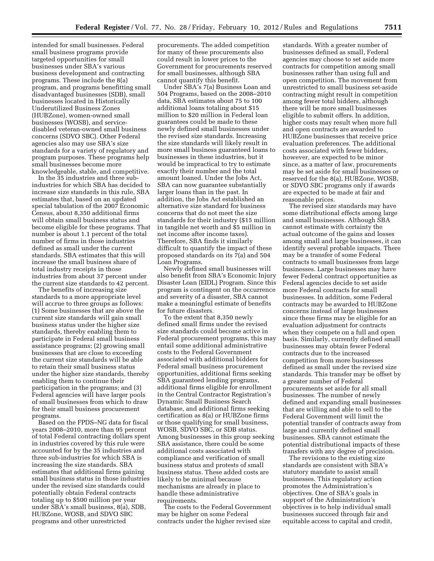intended for small businesses. Federal small business programs provide targeted opportunities for small businesses under SBA's various business development and contracting programs. These include the 8(a) program, and programs benefitting small disadvantaged businesses (SDB), small businesses located in Historically Underutilized Business Zones (HUBZone), women-owned small businesses (WOSB), and servicedisabled veteran-owned small business concerns (SDVO SBC). Other Federal agencies also may use SBA's size standards for a variety of regulatory and program purposes. These programs help small businesses become more knowledgeable, stable, and competitive.

In the 35 industries and three subindustries for which SBA has decided to increase size standards in this rule, SBA estimates that, based on an updated special tabulation of the 2007 Economic Census, about 8,350 additional firms will obtain small business status and become eligible for these programs. That number is about 1.1 percent of the total number of firms in those industries defined as small under the current standards. SBA estimates that this will increase the small business share of total industry receipts in those industries from about 37 percent under the current size standards to 42 percent.

The benefits of increasing size standards to a more appropriate level will accrue to three groups as follows: (1) Some businesses that are above the current size standards will gain small business status under the higher size standards, thereby enabling them to participate in Federal small business assistance programs; (2) growing small businesses that are close to exceeding the current size standards will be able to retain their small business status under the higher size standards, thereby enabling them to continue their participation in the programs; and (3) Federal agencies will have larger pools of small businesses from which to draw for their small business procurement programs.

Based on the FPDS–NG data for fiscal years 2008–2010, more than 95 percent of total Federal contracting dollars spent in industries covered by this rule were accounted for by the 35 industries and three sub-industries for which SBA is increasing the size standards. SBA estimates that additional firms gaining small business status in those industries under the revised size standards could potentially obtain Federal contracts totaling up to \$500 million per year under SBA's small business, 8(a), SDB, HUBZone, WOSB, and SDVO SBC programs and other unrestricted

procurements. The added competition for many of these procurements also could result in lower prices to the Government for procurements reserved for small businesses, although SBA cannot quantify this benefit.

Under SBA's 7(a) Business Loan and 504 Programs, based on the 2008–2010 data, SBA estimates about 75 to 100 additional loans totaling about \$15 million to \$20 million in Federal loan guarantees could be made to these newly defined small businesses under the revised size standards. Increasing the size standards will likely result in more small business guaranteed loans to businesses in these industries, but it would be impractical to try to estimate exactly their number and the total amount loaned. Under the Jobs Act, SBA can now guarantee substantially larger loans than in the past. In addition, the Jobs Act established an alternative size standard for business concerns that do not meet the size standards for their industry (\$15 million in tangible net worth and \$5 million in net income after income taxes). Therefore, SBA finds it similarly difficult to quantify the impact of these proposed standards on its 7(a) and 504 Loan Programs.

Newly defined small businesses will also benefit from SBA's Economic Injury Disaster Loan (EIDL) Program. Since this program is contingent on the occurrence and severity of a disaster, SBA cannot make a meaningful estimate of benefits for future disasters.

To the extent that 8,350 newly defined small firms under the revised size standards could become active in Federal procurement programs, this may entail some additional administrative costs to the Federal Government associated with additional bidders for Federal small business procurement opportunities, additional firms seeking SBA guaranteed lending programs, additional firms eligible for enrollment in the Central Contractor Registration's Dynamic Small Business Search database, and additional firms seeking certification as 8(a) or HUBZone firms or those qualifying for small business, WOSB, SDVO SBC, or SDB status. Among businesses in this group seeking SBA assistance, there could be some additional costs associated with compliance and verification of small business status and protests of small business status. These added costs are likely to be minimal because mechanisms are already in place to handle these administrative requirements.

The costs to the Federal Government may be higher on some Federal contracts under the higher revised size

standards. With a greater number of businesses defined as small, Federal agencies may choose to set aside more contracts for competition among small businesses rather than using full and open competition. The movement from unrestricted to small business set-aside contracting might result in competition among fewer total bidders, although there will be more small businesses eligible to submit offers. In addition, higher costs may result when more full and open contracts are awarded to HUBZone businesses that receive price evaluation preferences. The additional costs associated with fewer bidders, however, are expected to be minor since, as a matter of law, procurements may be set aside for small businesses or reserved for the 8(a), HUBZone, WOSB, or SDVO SBC programs only if awards are expected to be made at fair and reasonable prices.

The revised size standards may have some distributional effects among large and small businesses. Although SBA cannot estimate with certainty the actual outcome of the gains and losses among small and large businesses, it can identify several probable impacts. There may be a transfer of some Federal contracts to small businesses from large businesses. Large businesses may have fewer Federal contract opportunities as Federal agencies decide to set aside more Federal contracts for small businesses. In addition, some Federal contracts may be awarded to HUBZone concerns instead of large businesses since these firms may be eligible for an evaluation adjustment for contracts when they compete on a full and open basis. Similarly, currently defined small businesses may obtain fewer Federal contracts due to the increased competition from more businesses defined as small under the revised size standards. This transfer may be offset by a greater number of Federal procurements set aside for all small businesses. The number of newly defined and expanding small businesses that are willing and able to sell to the Federal Government will limit the potential transfer of contracts away from large and currently defined small businesses. SBA cannot estimate the potential distributional impacts of these transfers with any degree of precision.

The revisions to the existing size standards are consistent with SBA's statutory mandate to assist small businesses. This regulatory action promotes the Administration's objectives. One of SBA's goals in support of the Administration's objectives is to help individual small businesses succeed through fair and equitable access to capital and credit,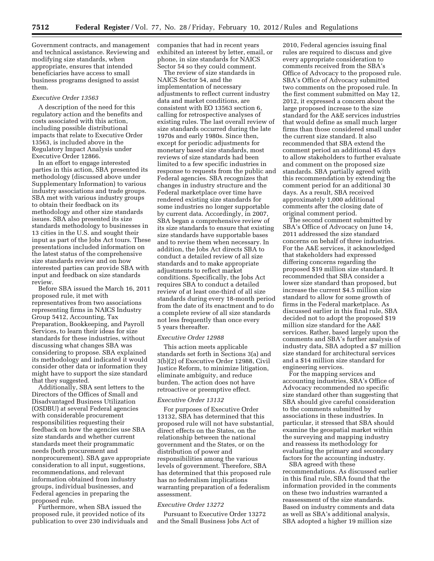Government contracts, and management and technical assistance. Reviewing and modifying size standards, when appropriate, ensures that intended beneficiaries have access to small business programs designed to assist them.

#### *Executive Order 13563*

A description of the need for this regulatory action and the benefits and costs associated with this action, including possible distributional impacts that relate to Executive Order 13563, is included above in the Regulatory Impact Analysis under Executive Order 12866.

In an effort to engage interested parties in this action, SBA presented its methodology (discussed above under Supplementary Information) to various industry associations and trade groups. SBA met with various industry groups to obtain their feedback on its methodology and other size standards issues. SBA also presented its size standards methodology to businesses in 13 cities in the U.S. and sought their input as part of the Jobs Act tours. These presentations included information on the latest status of the comprehensive size standards review and on how interested parties can provide SBA with input and feedback on size standards review.

Before SBA issued the March 16, 2011 proposed rule, it met with representatives from two associations representing firms in NAICS Industry Group 5412, Accounting, Tax Preparation, Bookkeeping, and Payroll Services, to learn their ideas for size standards for these industries, without discussing what changes SBA was considering to propose. SBA explained its methodology and indicated it would consider other data or information they might have to support the size standard that they suggested.

Additionally, SBA sent letters to the Directors of the Offices of Small and Disadvantaged Business Utilization (OSDBU) at several Federal agencies with considerable procurement responsibilities requesting their feedback on how the agencies use SBA size standards and whether current standards meet their programmatic needs (both procurement and nonprocurement). SBA gave appropriate consideration to all input, suggestions, recommendations, and relevant information obtained from industry groups, individual businesses, and Federal agencies in preparing the proposed rule.

Furthermore, when SBA issued the proposed rule, it provided notice of its publication to over 230 individuals and companies that had in recent years exhibited an interest by letter, email, or phone, in size standards for NAICS Sector 54 so they could comment.

The review of size standards in NAICS Sector 54, and the implementation of necessary adjustments to reflect current industry data and market conditions, are consistent with EO 13563 section 6, calling for retrospective analyses of existing rules. The last overall review of size standards occurred during the late 1970s and early 1980s. Since then, except for periodic adjustments for monetary based size standards, most reviews of size standards had been limited to a few specific industries in response to requests from the public and Federal agencies. SBA recognizes that changes in industry structure and the Federal marketplace over time have rendered existing size standards for some industries no longer supportable by current data. Accordingly, in 2007, SBA began a comprehensive review of its size standards to ensure that existing size standards have supportable bases and to revise them when necessary. In addition, the Jobs Act directs SBA to conduct a detailed review of all size standards and to make appropriate adjustments to reflect market conditions. Specifically, the Jobs Act requires SBA to conduct a detailed review of at least one-third of all size standards during every 18-month period from the date of its enactment and to do a complete review of all size standards not less frequently than once every 5 years thereafter.

#### *Executive Order 12988*

This action meets applicable standards set forth in Sections 3(a) and 3(b)(2) of Executive Order 12988, Civil Justice Reform, to minimize litigation, eliminate ambiguity, and reduce burden. The action does not have retroactive or preemptive effect.

# *Executive Order 13132*

For purposes of Executive Order 13132, SBA has determined that this proposed rule will not have substantial, direct effects on the States, on the relationship between the national government and the States, or on the distribution of power and responsibilities among the various levels of government. Therefore, SBA has determined that this proposed rule has no federalism implications warranting preparation of a federalism assessment.

#### *Executive Order 13272*

Pursuant to Executive Order 13272 and the Small Business Jobs Act of

2010, Federal agencies issuing final rules are required to discuss and give every appropriate consideration to comments received from the SBA's Office of Advocacy to the proposed rule. SBA's Office of Advocacy submitted two comments on the proposed rule. In the first comment submitted on May 12, 2012, it expressed a concern about the large proposed increase to the size standard for the A&E services industries that would define as small much larger firms than those considered small under the current size standard. It also recommended that SBA extend the comment period an additional 45 days to allow stakeholders to further evaluate and comment on the proposed size standards. SBA partially agreed with this recommendation by extending the comment period for an additional 30 days. As a result, SBA received approximately 1,000 additional comments after the closing date of original comment period.

The second comment submitted by SBA's Office of Advocacy on June 14, 2011 addressed the size standard concerns on behalf of three industries. For the A&E services, it acknowledged that stakeholders had expressed differing concerns regarding the proposed \$19 million size standard. It recommended that SBA consider a lower size standard than proposed, but increase the current \$4.5 million size standard to allow for some growth of firms in the Federal marketplace. As discussed earlier in this final rule, SBA decided not to adopt the proposed \$19 million size standard for the A&E services. Rather, based largely upon the comments and SBA's further analysis of industry data, SBA adopted a \$7 million size standard for architectural services and a \$14 million size standard for engineering services.

For the mapping services and accounting industries, SBA's Office of Advocacy recommended no specific size standard other than suggesting that SBA should give careful consideration to the comments submitted by associations in these industries. In particular, it stressed that SBA should examine the geospatial market within the surveying and mapping industry and reassess its methodology for evaluating the primary and secondary factors for the accounting industry.

SBA agreed with these recommendations. As discussed earlier in this final rule, SBA found that the information provided in the comments on these two industries warranted a reassessment of the size standards. Based on industry comments and data as well as SBA's additional analysis, SBA adopted a higher 19 million size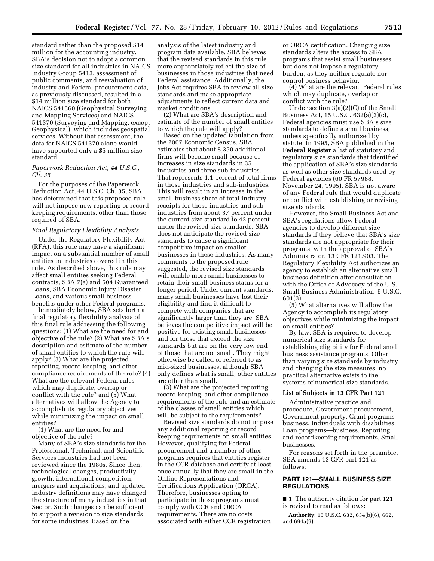standard rather than the proposed \$14 million for the accounting industry. SBA's decision not to adopt a common size standard for all industries in NAICS Industry Group 5413, assessment of public comments, and reevaluation of industry and Federal procurement data, as previously discussed, resulted in a \$14 million size standard for both NAICS 541360 (Geophysical Surveying and Mapping Services) and NAICS 541370 (Surveying and Mapping, except Geophysical), which includes geospatial services. Without that assessment, the data for NAICS 541370 alone would have supported only a \$5 million size standard.

# *Paperwork Reduction Act, 44 U.S.C., Ch. 35*

For the purposes of the Paperwork Reduction Act, 44 U.S.C. Ch. 35, SBA has determined that this proposed rule will not impose new reporting or record keeping requirements, other than those required of SBA.

#### *Final Regulatory Flexibility Analysis*

Under the Regulatory Flexibility Act (RFA), this rule may have a significant impact on a substantial number of small entities in industries covered in this rule. As described above, this rule may affect small entities seeking Federal contracts, SBA 7(a) and 504 Guaranteed Loans, SBA Economic Injury Disaster Loans, and various small business benefits under other Federal programs.

Immediately below, SBA sets forth a final regulatory flexibility analysis of this final rule addressing the following questions: (1) What are the need for and objective of the rule? (2) What are SBA's description and estimate of the number of small entities to which the rule will apply? (3) What are the projected reporting, record keeping, and other compliance requirements of the rule? (4) What are the relevant Federal rules which may duplicate, overlap or conflict with the rule? and (5) What alternatives will allow the Agency to accomplish its regulatory objectives while minimizing the impact on small entities?

(1) What are the need for and objective of the rule?

Many of SBA's size standards for the Professional, Technical, and Scientific Services industries had not been reviewed since the 1980s. Since then, technological changes, productivity growth, international competition, mergers and acquisitions, and updated industry definitions may have changed the structure of many industries in that Sector. Such changes can be sufficient to support a revision to size standards for some industries. Based on the

analysis of the latest industry and program data available, SBA believes that the revised standards in this rule more appropriately reflect the size of businesses in those industries that need Federal assistance. Additionally, the Jobs Act requires SBA to review all size standards and make appropriate adjustments to reflect current data and market conditions.

(2) What are SBA's description and estimate of the number of small entities to which the rule will apply?

Based on the updated tabulation from the 2007 Economic Census, SBA estimates that about 8,350 additional firms will become small because of increases in size standards in 35 industries and three sub-industries. That represents 1.1 percent of total firms in those industries and sub-industries. This will result in an increase in the small business share of total industry receipts for those industries and subindustries from about 37 percent under the current size standard to 42 percent under the revised size standards. SBA does not anticipate the revised size standards to cause a significant competitive impact on smaller businesses in these industries. As many comments to the proposed rule suggested, the revised size standards will enable more small businesses to retain their small business status for a longer period. Under current standards, many small businesses have lost their eligibility and find it difficult to compete with companies that are significantly larger than they are. SBA believes the competitive impact will be positive for existing small businesses and for those that exceed the size standards but are on the very low end of those that are not small. They might otherwise be called or referred to as mid-sized businesses, although SBA only defines what is small; other entities are other than small.

(3) What are the projected reporting, record keeping, and other compliance requirements of the rule and an estimate of the classes of small entities which will be subject to the requirements?

Revised size standards do not impose any additional reporting or record keeping requirements on small entities. However, qualifying for Federal procurement and a number of other programs requires that entities register in the CCR database and certify at least once annually that they are small in the Online Representations and Certifications Application (ORCA). Therefore, businesses opting to participate in those programs must comply with CCR and ORCA requirements. There are no costs associated with either CCR registration

or ORCA certification. Changing size standards alters the access to SBA programs that assist small businesses but does not impose a regulatory burden, as they neither regulate nor control business behavior.

(4) What are the relevant Federal rules which may duplicate, overlap or conflict with the rule?

Under section 3(a)(2)(C) of the Small Business Act, 15 U.S.C. 632(a)(2)(c), Federal agencies must use SBA's size standards to define a small business, unless specifically authorized by statute. In 1995, SBA published in the **Federal Register** a list of statutory and regulatory size standards that identified the application of SBA's size standards as well as other size standards used by Federal agencies (60 FR 57988, November 24, 1995). SBA is not aware of any Federal rule that would duplicate or conflict with establishing or revising size standards.

However, the Small Business Act and SBA's regulations allow Federal agencies to develop different size standards if they believe that SBA's size standards are not appropriate for their programs, with the approval of SBA's Administrator. 13 CFR 121.903. The Regulatory Flexibility Act authorizes an agency to establish an alternative small business definition after consultation with the Office of Advocacy of the U.S. Small Business Administration. 5 U.S.C. 601(3).

(5) What alternatives will allow the Agency to accomplish its regulatory objectives while minimizing the impact on small entities?

By law, SBA is required to develop numerical size standards for establishing eligibility for Federal small business assistance programs. Other than varying size standards by industry and changing the size measures, no practical alternative exists to the systems of numerical size standards.

# **List of Subjects in 13 CFR Part 121**

Administrative practice and procedure, Government procurement, Government property, Grant programs business, Individuals with disabilities, Loan programs—business, Reporting and recordkeeping requirements, Small businesses.

For reasons set forth in the preamble, SBA amends 13 CFR part 121 as follows:

# **PART 121—SMALL BUSINESS SIZE REGULATIONS**

■ 1. The authority citation for part 121 is revised to read as follows:

**Authority:** 15 U.S.C. 632, 634(b)(6), 662, and 694a(9).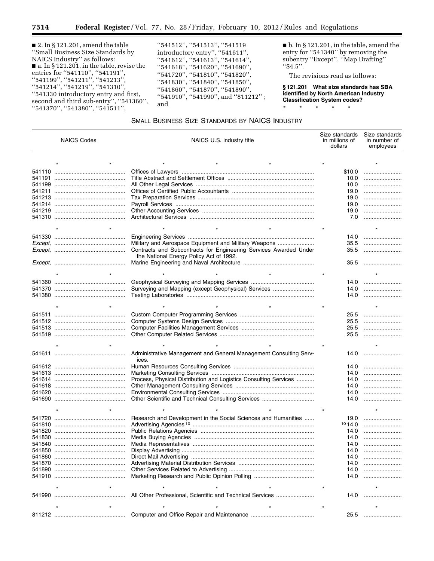■ 2. In § 121.201, amend the table ''Small Business Size Standards by NAICS Industry'' as follows: ■ a. In § 121.201, in the table, revise the entries for ''541110'', ''541191'', ''541199'', ''541211'', ''541213'', ''541214'', ''541219'', ''541310'', ''541330 introductory entry and first, second and third sub-entry'', ''541360'', ''541370'', ''541380'', ''541511'',

Ξ

''541512'', ''541513'', ''541519 introductory entry'', ''541611'', ''541612'', ''541613'', ''541614'', ''541618'', ''541620'', ''541690'', ''541720'', ''541810'', ''541820'', ''541830'', ''541840'', ''541850'', ''541860'', ''541870'', ''541890'', ''541910'', ''541990'', and ''811212'' ; and

■ b. In § 121.201, in the table, amend the entry for ''541340'' by removing the subentry ''Except'', ''Map Drafting'' ''\$4.5''.

The revisions read as follows:

**§ 121.201 What size standards has SBA identified by North American Industry Classification System codes?** 

\* \* \* \* \*

# SMALL BUSINESS SIZE STANDARDS BY NAICS INDUSTRY

| <b>NAICS Codes</b> |  | NAICS U.S. industry title                                                  | Size standards<br>in millions of<br>dollars | Size standards<br>in number of<br>employees |
|--------------------|--|----------------------------------------------------------------------------|---------------------------------------------|---------------------------------------------|
|                    |  |                                                                            |                                             |                                             |
|                    |  |                                                                            | \$10.0                                      |                                             |
|                    |  |                                                                            | 10.0                                        |                                             |
|                    |  |                                                                            | 10.0                                        |                                             |
|                    |  |                                                                            | 19.0                                        |                                             |
|                    |  |                                                                            | 19.0                                        |                                             |
|                    |  |                                                                            | 19.0                                        |                                             |
|                    |  |                                                                            | 19.0                                        |                                             |
|                    |  |                                                                            | 7.0                                         |                                             |
|                    |  |                                                                            |                                             |                                             |
|                    |  |                                                                            | 14.0                                        |                                             |
|                    |  | Military and Aerospace Equipment and Military Weapons                      | 35.5                                        |                                             |
|                    |  | Contracts and Subcontracts for Engineering Services Awarded Under          | 35.5                                        |                                             |
|                    |  | the National Energy Policy Act of 1992.                                    |                                             |                                             |
|                    |  |                                                                            | 35.5                                        |                                             |
|                    |  |                                                                            |                                             |                                             |
|                    |  |                                                                            | 14.0                                        |                                             |
|                    |  | Surveying and Mapping (except Geophysical) Services                        | 14.0                                        |                                             |
|                    |  |                                                                            | 14.0                                        |                                             |
|                    |  |                                                                            |                                             |                                             |
|                    |  |                                                                            | 25.5                                        |                                             |
|                    |  |                                                                            | 25.5                                        |                                             |
|                    |  |                                                                            | 25.5                                        |                                             |
|                    |  |                                                                            | 25.5                                        |                                             |
|                    |  |                                                                            |                                             |                                             |
|                    |  |                                                                            |                                             |                                             |
|                    |  | Administrative Management and General Management Consulting Serv-<br>ices. | 14.0                                        |                                             |
|                    |  |                                                                            | 14.0                                        |                                             |
|                    |  |                                                                            | 14.0                                        |                                             |
|                    |  | Process, Physical Distribution and Logistics Consulting Services           | 14.0                                        |                                             |
|                    |  |                                                                            | 14.0                                        |                                             |
|                    |  |                                                                            | 14.0                                        |                                             |
|                    |  | Other Scientific and Technical Consulting Services                         | 14.0                                        |                                             |
|                    |  |                                                                            |                                             |                                             |
|                    |  |                                                                            |                                             |                                             |
|                    |  | Research and Development in the Social Sciences and Humanities             | 19.0                                        |                                             |
|                    |  |                                                                            | 1014.0                                      |                                             |
| 541820             |  |                                                                            | 14.0                                        |                                             |
|                    |  |                                                                            | 14.0                                        |                                             |
|                    |  |                                                                            | 14.0                                        |                                             |
| 541850             |  |                                                                            | 14.0                                        |                                             |
| 541860             |  |                                                                            | 14.0                                        |                                             |
| 541870             |  |                                                                            | 14.0                                        |                                             |
|                    |  |                                                                            | 14.0                                        |                                             |
|                    |  |                                                                            | 14.0                                        |                                             |
|                    |  |                                                                            |                                             |                                             |
|                    |  | All Other Professional, Scientific and Technical Services                  | 14.0                                        |                                             |
|                    |  |                                                                            |                                             |                                             |
|                    |  |                                                                            | 25.5                                        |                                             |